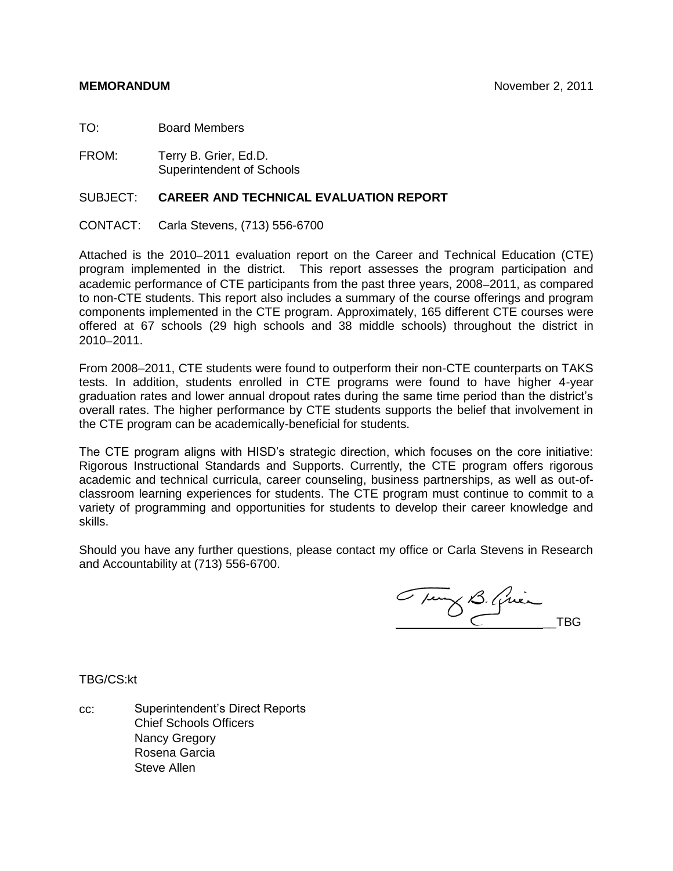TO: Board Members

FROM: Terry B. Grier, Ed.D. Superintendent of Schools

## SUBJECT: **CAREER AND TECHNICAL EVALUATION REPORT**

CONTACT: Carla Stevens, (713) 556-6700

Attached is the 2010–2011 evaluation report on the Career and Technical Education (CTE) program implemented in the district. This report assesses the program participation and academic performance of CTE participants from the past three years, 2008–2011, as compared to non-CTE students. This report also includes a summary of the course offerings and program components implemented in the CTE program. Approximately, 165 different CTE courses were offered at 67 schools (29 high schools and 38 middle schools) throughout the district in  $2010 - 2011$ .

From 2008–2011, CTE students were found to outperform their non-CTE counterparts on TAKS tests. In addition, students enrolled in CTE programs were found to have higher 4-year graduation rates and lower annual dropout rates during the same time period than the district's overall rates. The higher performance by CTE students supports the belief that involvement in the CTE program can be academically-beneficial for students.

The CTE program aligns with HISD's strategic direction, which focuses on the core initiative: Rigorous Instructional Standards and Supports. Currently, the CTE program offers rigorous academic and technical curricula, career counseling, business partnerships, as well as out-ofclassroom learning experiences for students. The CTE program must continue to commit to a variety of programming and opportunities for students to develop their career knowledge and skills.

Should you have any further questions, please contact my office or Carla Stevens in Research and Accountability at (713) 556-6700.

Tury B. Qui \_\_TBG

TBG/CS:kt

cc: Superintendent's Direct Reports Chief Schools Officers Nancy Gregory Rosena Garcia Steve Allen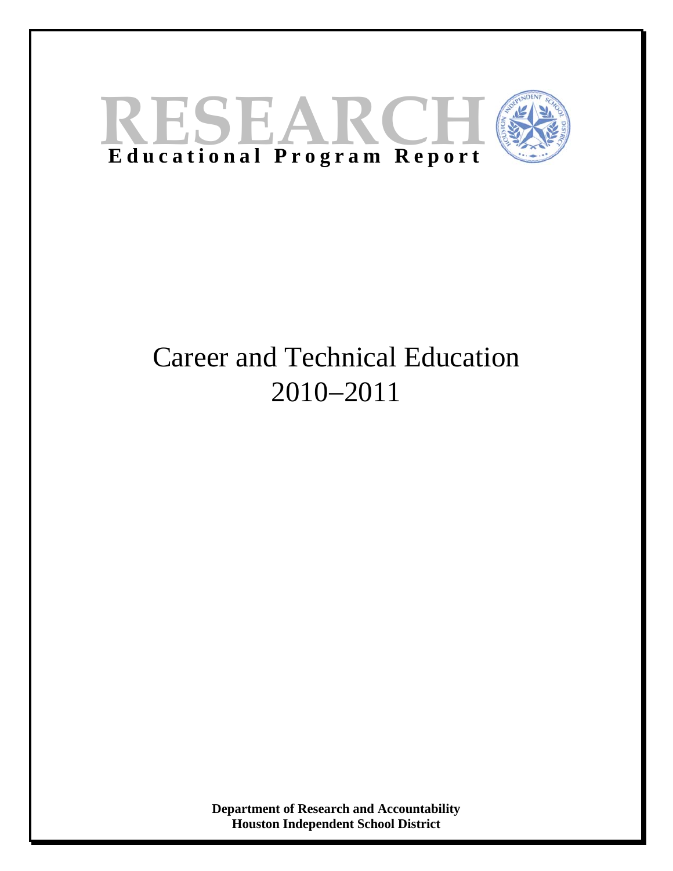

# Career and Technical Education 2010−2011

**Department of Research and Accountability Houston Independent School District**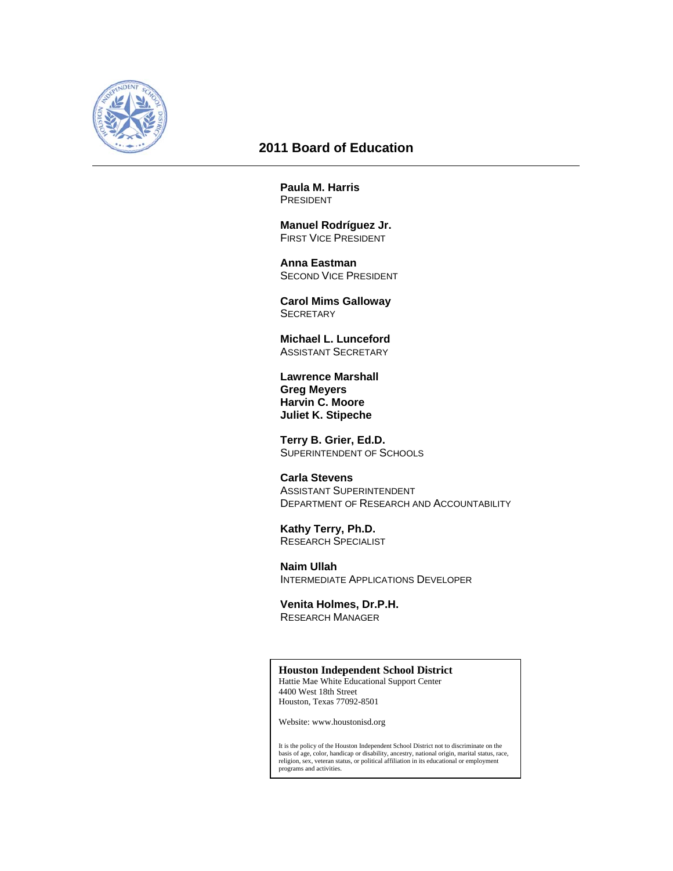

## **2011 Board of Education**

**Paula M. Harris**  PRESIDENT

 **Manuel Rodríguez Jr.**  FIRST VICE PRESIDENT

 **Anna Eastman**  SECOND VICE PRESIDENT

 **Carol Mims Galloway SECRETARY** 

 **Michael L. Lunceford**  ASSISTANT SECRETARY

 **Lawrence Marshall Greg Meyers Harvin C. Moore Juliet K. Stipeche** 

 **Terry B. Grier, Ed.D.**  SUPERINTENDENT OF SCHOOLS

 **Carla Stevens**  ASSISTANT SUPERINTENDENT DEPARTMENT OF RESEARCH AND ACCOUNTABILITY

 **Kathy Terry, Ph.D.**  RESEARCH SPECIALIST

 **Naim Ullah**  INTERMEDIATE APPLICATIONS DEVELOPER

 **Venita Holmes, Dr.P.H.**  RESEARCH MANAGER

#### **Houston Independent School District**

Hattie Mae White Educational Support Center 4400 West 18th Street Houston, Texas 77092-8501

Website: www.houstonisd.org

It is the policy of the Houston Independent School District not to discriminate on the basis of age, color, handicap or disability, ancestry, national origin, marital status, race, religion, sex, veteran status, or political affiliation in its educational or employment programs and activities.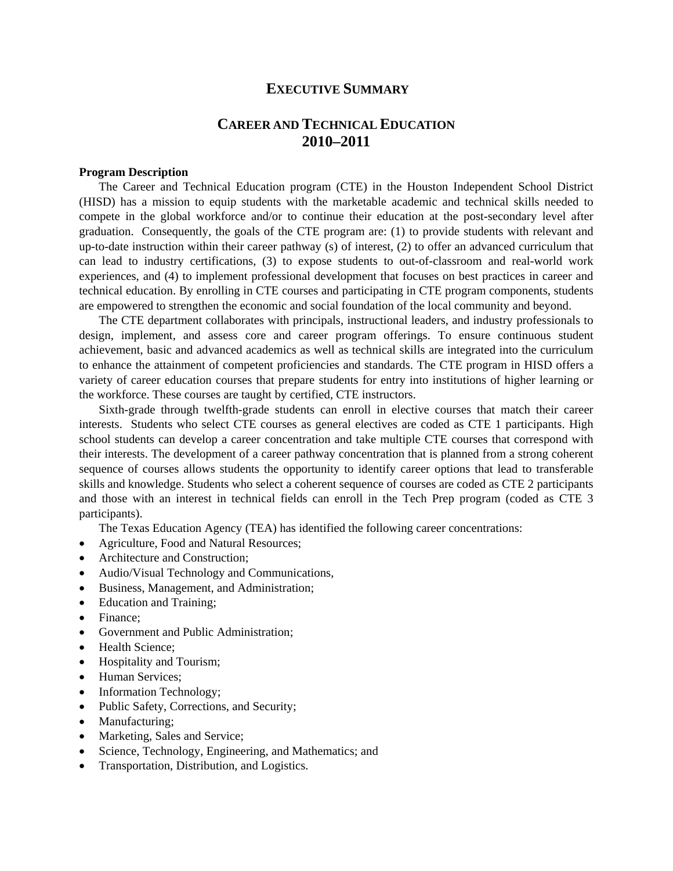## **EXECUTIVE SUMMARY**

# **CAREER AND TECHNICAL EDUCATION 2010–2011**

## **Program Description**

The Career and Technical Education program (CTE) in the Houston Independent School District (HISD) has a mission to equip students with the marketable academic and technical skills needed to compete in the global workforce and/or to continue their education at the post-secondary level after graduation. Consequently, the goals of the CTE program are: (1) to provide students with relevant and up-to-date instruction within their career pathway (s) of interest, (2) to offer an advanced curriculum that can lead to industry certifications, (3) to expose students to out-of-classroom and real-world work experiences, and (4) to implement professional development that focuses on best practices in career and technical education. By enrolling in CTE courses and participating in CTE program components, students are empowered to strengthen the economic and social foundation of the local community and beyond.

The CTE department collaborates with principals, instructional leaders, and industry professionals to design, implement, and assess core and career program offerings. To ensure continuous student achievement, basic and advanced academics as well as technical skills are integrated into the curriculum to enhance the attainment of competent proficiencies and standards. The CTE program in HISD offers a variety of career education courses that prepare students for entry into institutions of higher learning or the workforce. These courses are taught by certified, CTE instructors.

Sixth-grade through twelfth-grade students can enroll in elective courses that match their career interests. Students who select CTE courses as general electives are coded as CTE 1 participants. High school students can develop a career concentration and take multiple CTE courses that correspond with their interests. The development of a career pathway concentration that is planned from a strong coherent sequence of courses allows students the opportunity to identify career options that lead to transferable skills and knowledge. Students who select a coherent sequence of courses are coded as CTE 2 participants and those with an interest in technical fields can enroll in the Tech Prep program (coded as CTE 3 participants).

The Texas Education Agency (TEA) has identified the following career concentrations:

- Agriculture, Food and Natural Resources;
- Architecture and Construction;
- Audio/Visual Technology and Communications,
- Business, Management, and Administration;
- Education and Training;
- Finance:
- Government and Public Administration;
- Health Science;
- Hospitality and Tourism;
- Human Services;
- Information Technology;
- Public Safety, Corrections, and Security;
- Manufacturing;
- Marketing, Sales and Service;
- Science, Technology, Engineering, and Mathematics; and
- Transportation, Distribution, and Logistics.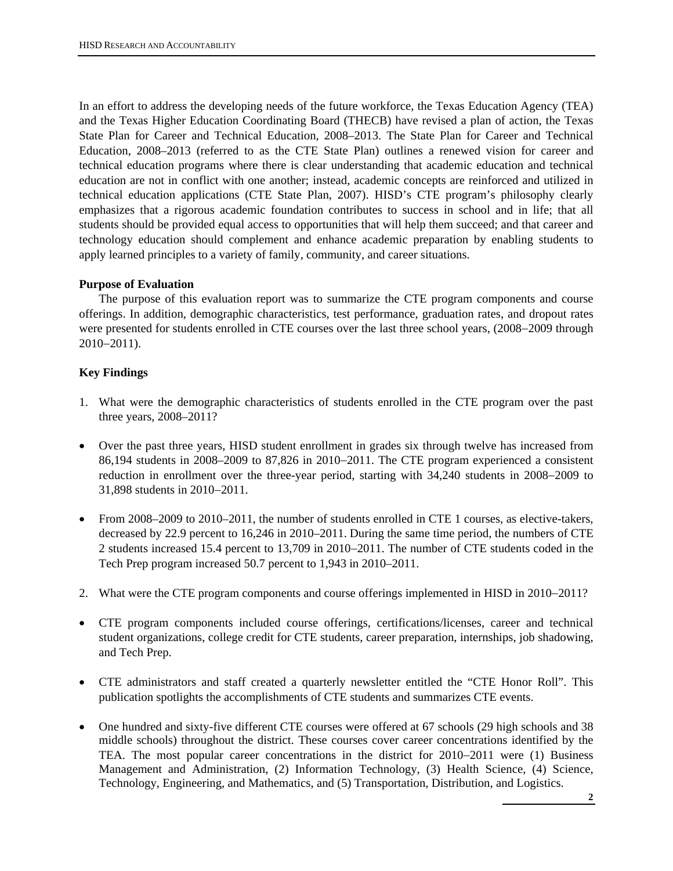In an effort to address the developing needs of the future workforce, the Texas Education Agency (TEA) and the Texas Higher Education Coordinating Board (THECB) have revised a plan of action, the Texas State Plan for Career and Technical Education, 2008–2013. The State Plan for Career and Technical Education, 2008–2013 (referred to as the CTE State Plan) outlines a renewed vision for career and technical education programs where there is clear understanding that academic education and technical education are not in conflict with one another; instead, academic concepts are reinforced and utilized in technical education applications (CTE State Plan, 2007). HISD's CTE program's philosophy clearly emphasizes that a rigorous academic foundation contributes to success in school and in life; that all students should be provided equal access to opportunities that will help them succeed; and that career and technology education should complement and enhance academic preparation by enabling students to apply learned principles to a variety of family, community, and career situations.

## **Purpose of Evaluation**

The purpose of this evaluation report was to summarize the CTE program components and course offerings. In addition, demographic characteristics, test performance, graduation rates, and dropout rates were presented for students enrolled in CTE courses over the last three school years, (2008−2009 through 2010−2011).

## **Key Findings**

- 1. What were the demographic characteristics of students enrolled in the CTE program over the past three years, 2008–2011?
- Over the past three years, HISD student enrollment in grades six through twelve has increased from 86,194 students in 2008–2009 to 87,826 in 2010−2011. The CTE program experienced a consistent reduction in enrollment over the three-year period, starting with 34,240 students in 2008−2009 to 31,898 students in 2010−2011.
- From 2008–2009 to 2010–2011, the number of students enrolled in CTE 1 courses, as elective-takers, decreased by 22.9 percent to 16,246 in 2010–2011. During the same time period, the numbers of CTE 2 students increased 15.4 percent to 13,709 in 2010−2011. The number of CTE students coded in the Tech Prep program increased 50.7 percent to 1,943 in 2010–2011.
- 2. What were the CTE program components and course offerings implemented in HISD in 2010−2011?
- CTE program components included course offerings, certifications/licenses, career and technical student organizations, college credit for CTE students, career preparation, internships, job shadowing, and Tech Prep.
- CTE administrators and staff created a quarterly newsletter entitled the "CTE Honor Roll". This publication spotlights the accomplishments of CTE students and summarizes CTE events.
- One hundred and sixty-five different CTE courses were offered at 67 schools (29 high schools and 38 middle schools) throughout the district. These courses cover career concentrations identified by the TEA. The most popular career concentrations in the district for 2010−2011 were (1) Business Management and Administration, (2) Information Technology, (3) Health Science, (4) Science, Technology, Engineering, and Mathematics, and (5) Transportation, Distribution, and Logistics.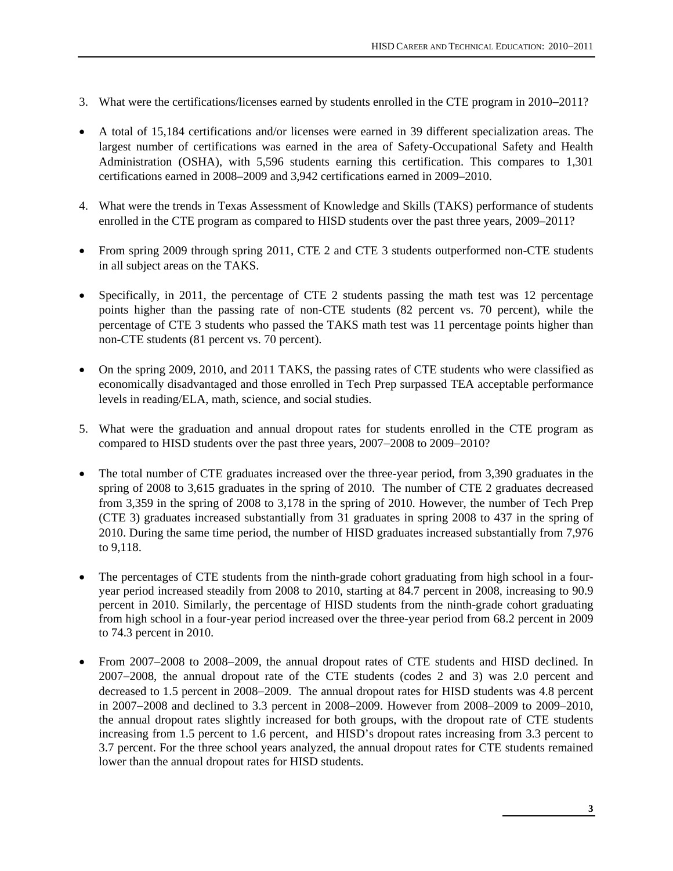- 3. What were the certifications/licenses earned by students enrolled in the CTE program in 2010−2011?
- A total of 15,184 certifications and/or licenses were earned in 39 different specialization areas. The largest number of certifications was earned in the area of Safety-Occupational Safety and Health Administration (OSHA), with 5,596 students earning this certification. This compares to 1,301 certifications earned in 2008–2009 and 3,942 certifications earned in 2009–2010.
- 4. What were the trends in Texas Assessment of Knowledge and Skills (TAKS) performance of students enrolled in the CTE program as compared to HISD students over the past three years, 2009–2011?
- From spring 2009 through spring 2011, CTE 2 and CTE 3 students outperformed non-CTE students in all subject areas on the TAKS.
- Specifically, in 2011, the percentage of CTE 2 students passing the math test was 12 percentage points higher than the passing rate of non-CTE students (82 percent vs. 70 percent), while the percentage of CTE 3 students who passed the TAKS math test was 11 percentage points higher than non-CTE students (81 percent vs. 70 percent).
- On the spring 2009, 2010, and 2011 TAKS, the passing rates of CTE students who were classified as economically disadvantaged and those enrolled in Tech Prep surpassed TEA acceptable performance levels in reading/ELA, math, science, and social studies.
- 5. What were the graduation and annual dropout rates for students enrolled in the CTE program as compared to HISD students over the past three years, 2007−2008 to 2009−2010?
- The total number of CTE graduates increased over the three-year period, from 3,390 graduates in the spring of 2008 to 3,615 graduates in the spring of 2010. The number of CTE 2 graduates decreased from 3,359 in the spring of 2008 to 3,178 in the spring of 2010. However, the number of Tech Prep (CTE 3) graduates increased substantially from 31 graduates in spring 2008 to 437 in the spring of 2010. During the same time period, the number of HISD graduates increased substantially from 7,976 to 9,118.
- The percentages of CTE students from the ninth-grade cohort graduating from high school in a fouryear period increased steadily from 2008 to 2010, starting at 84.7 percent in 2008, increasing to 90.9 percent in 2010. Similarly, the percentage of HISD students from the ninth-grade cohort graduating from high school in a four-year period increased over the three-year period from 68.2 percent in 2009 to 74.3 percent in 2010.
- From 2007−2008 to 2008−2009, the annual dropout rates of CTE students and HISD declined. In 2007−2008, the annual dropout rate of the CTE students (codes 2 and 3) was 2.0 percent and decreased to 1.5 percent in 2008−2009. The annual dropout rates for HISD students was 4.8 percent in 2007−2008 and declined to 3.3 percent in 2008−2009. However from 2008–2009 to 2009–2010, the annual dropout rates slightly increased for both groups, with the dropout rate of CTE students increasing from 1.5 percent to 1.6 percent, and HISD's dropout rates increasing from 3.3 percent to 3.7 percent. For the three school years analyzed, the annual dropout rates for CTE students remained lower than the annual dropout rates for HISD students.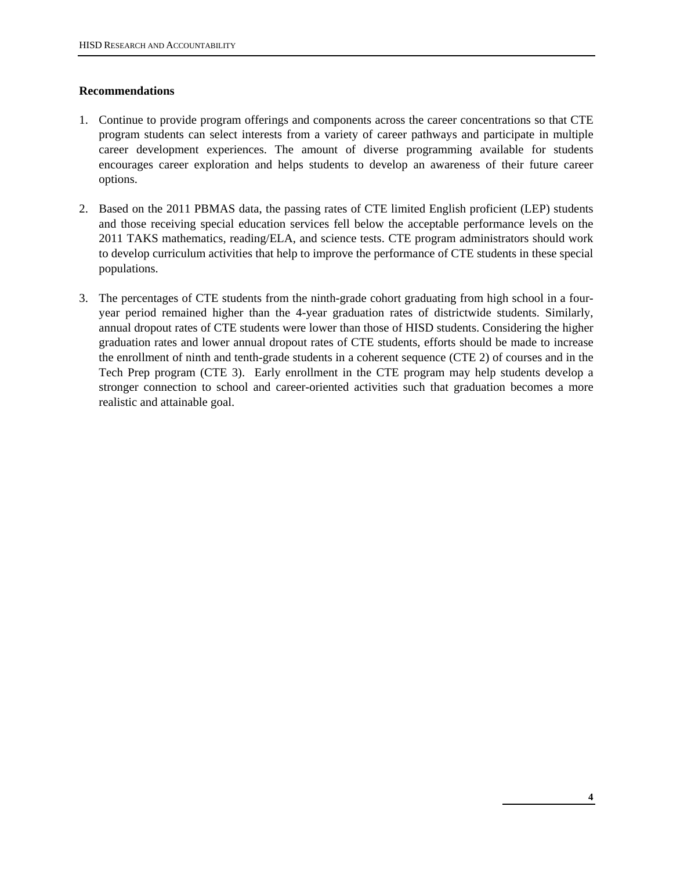## **Recommendations**

- 1. Continue to provide program offerings and components across the career concentrations so that CTE program students can select interests from a variety of career pathways and participate in multiple career development experiences. The amount of diverse programming available for students encourages career exploration and helps students to develop an awareness of their future career options.
- 2. Based on the 2011 PBMAS data, the passing rates of CTE limited English proficient (LEP) students and those receiving special education services fell below the acceptable performance levels on the 2011 TAKS mathematics, reading/ELA, and science tests. CTE program administrators should work to develop curriculum activities that help to improve the performance of CTE students in these special populations.
- 3. The percentages of CTE students from the ninth-grade cohort graduating from high school in a fouryear period remained higher than the 4-year graduation rates of districtwide students. Similarly, annual dropout rates of CTE students were lower than those of HISD students. Considering the higher graduation rates and lower annual dropout rates of CTE students, efforts should be made to increase the enrollment of ninth and tenth-grade students in a coherent sequence (CTE 2) of courses and in the Tech Prep program (CTE 3). Early enrollment in the CTE program may help students develop a stronger connection to school and career-oriented activities such that graduation becomes a more realistic and attainable goal.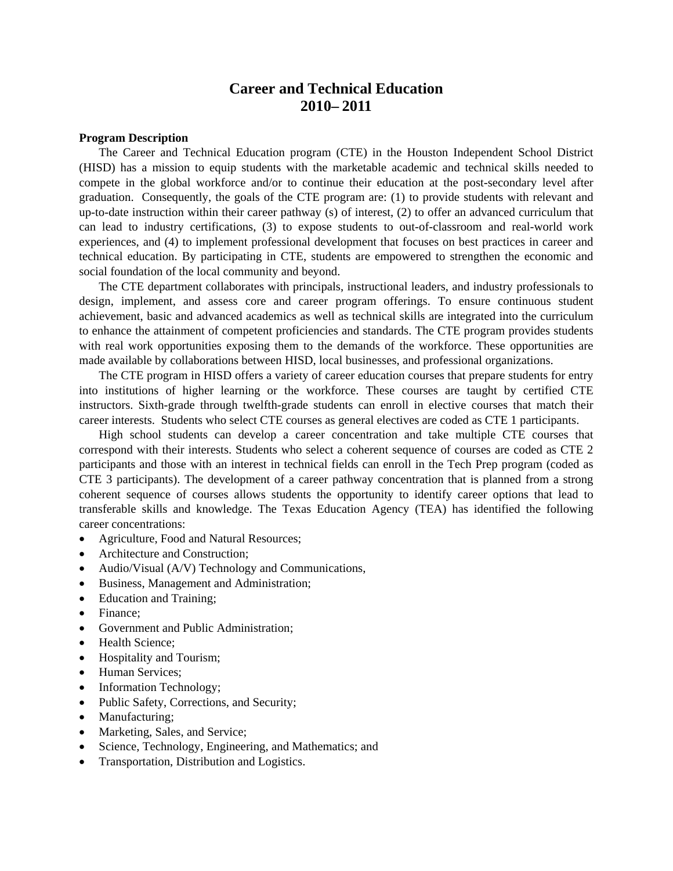# **Career and Technical Education 2010– 2011**

#### **Program Description**

The Career and Technical Education program (CTE) in the Houston Independent School District (HISD) has a mission to equip students with the marketable academic and technical skills needed to compete in the global workforce and/or to continue their education at the post-secondary level after graduation. Consequently, the goals of the CTE program are: (1) to provide students with relevant and up-to-date instruction within their career pathway (s) of interest, (2) to offer an advanced curriculum that can lead to industry certifications, (3) to expose students to out-of-classroom and real-world work experiences, and (4) to implement professional development that focuses on best practices in career and technical education. By participating in CTE, students are empowered to strengthen the economic and social foundation of the local community and beyond.

The CTE department collaborates with principals, instructional leaders, and industry professionals to design, implement, and assess core and career program offerings. To ensure continuous student achievement, basic and advanced academics as well as technical skills are integrated into the curriculum to enhance the attainment of competent proficiencies and standards. The CTE program provides students with real work opportunities exposing them to the demands of the workforce. These opportunities are made available by collaborations between HISD, local businesses, and professional organizations.

The CTE program in HISD offers a variety of career education courses that prepare students for entry into institutions of higher learning or the workforce. These courses are taught by certified CTE instructors. Sixth-grade through twelfth-grade students can enroll in elective courses that match their career interests. Students who select CTE courses as general electives are coded as CTE 1 participants.

High school students can develop a career concentration and take multiple CTE courses that correspond with their interests. Students who select a coherent sequence of courses are coded as CTE 2 participants and those with an interest in technical fields can enroll in the Tech Prep program (coded as CTE 3 participants). The development of a career pathway concentration that is planned from a strong coherent sequence of courses allows students the opportunity to identify career options that lead to transferable skills and knowledge. The Texas Education Agency (TEA) has identified the following career concentrations:

- Agriculture, Food and Natural Resources;
- Architecture and Construction;
- Audio/Visual (A/V) Technology and Communications,
- Business, Management and Administration;
- Education and Training;
- Finance:
- Government and Public Administration;
- Health Science:
- Hospitality and Tourism;
- Human Services;
- Information Technology;
- Public Safety, Corrections, and Security;
- Manufacturing;
- Marketing, Sales, and Service;
- Science, Technology, Engineering, and Mathematics; and
- Transportation, Distribution and Logistics.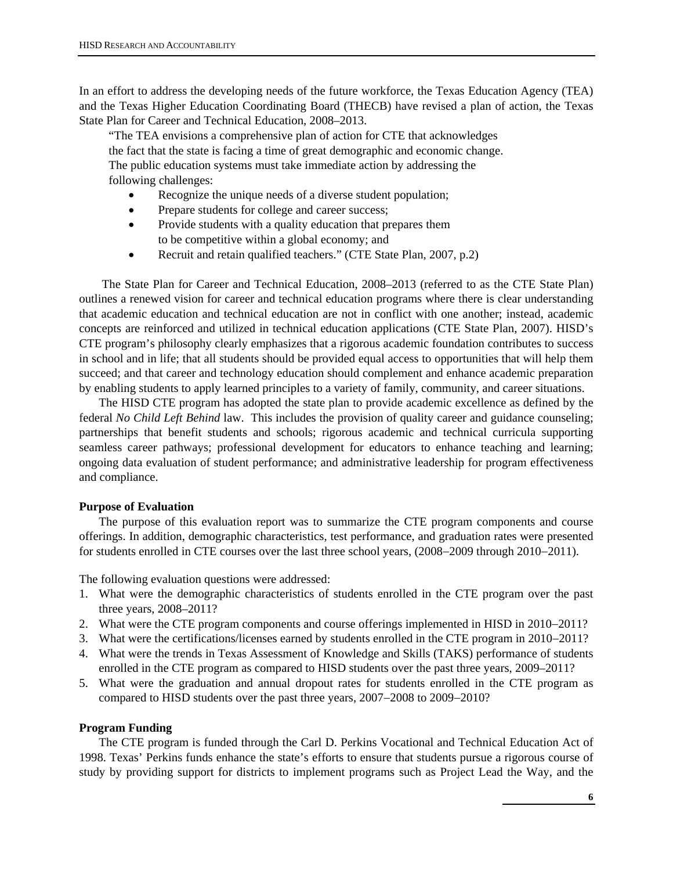In an effort to address the developing needs of the future workforce, the Texas Education Agency (TEA) and the Texas Higher Education Coordinating Board (THECB) have revised a plan of action, the Texas State Plan for Career and Technical Education, 2008–2013.

 "The TEA envisions a comprehensive plan of action for CTE that acknowledges the fact that the state is facing a time of great demographic and economic change. The public education systems must take immediate action by addressing the following challenges:

- Recognize the unique needs of a diverse student population;
- Prepare students for college and career success;
- Provide students with a quality education that prepares them to be competitive within a global economy; and
- Recruit and retain qualified teachers." (CTE State Plan, 2007, p.2)

 The State Plan for Career and Technical Education, 2008–2013 (referred to as the CTE State Plan) outlines a renewed vision for career and technical education programs where there is clear understanding that academic education and technical education are not in conflict with one another; instead, academic concepts are reinforced and utilized in technical education applications (CTE State Plan, 2007). HISD's CTE program's philosophy clearly emphasizes that a rigorous academic foundation contributes to success in school and in life; that all students should be provided equal access to opportunities that will help them succeed; and that career and technology education should complement and enhance academic preparation by enabling students to apply learned principles to a variety of family, community, and career situations.

The HISD CTE program has adopted the state plan to provide academic excellence as defined by the federal *No Child Left Behind* law. This includes the provision of quality career and guidance counseling; partnerships that benefit students and schools; rigorous academic and technical curricula supporting seamless career pathways; professional development for educators to enhance teaching and learning; ongoing data evaluation of student performance; and administrative leadership for program effectiveness and compliance.

#### **Purpose of Evaluation**

The purpose of this evaluation report was to summarize the CTE program components and course offerings. In addition, demographic characteristics, test performance, and graduation rates were presented for students enrolled in CTE courses over the last three school years, (2008−2009 through 2010−2011).

The following evaluation questions were addressed:

- 1. What were the demographic characteristics of students enrolled in the CTE program over the past three years, 2008–2011?
- 2. What were the CTE program components and course offerings implemented in HISD in 2010−2011?
- 3. What were the certifications/licenses earned by students enrolled in the CTE program in 2010−2011?
- 4. What were the trends in Texas Assessment of Knowledge and Skills (TAKS) performance of students enrolled in the CTE program as compared to HISD students over the past three years, 2009–2011?
- 5. What were the graduation and annual dropout rates for students enrolled in the CTE program as compared to HISD students over the past three years, 2007−2008 to 2009−2010?

#### **Program Funding**

The CTE program is funded through the Carl D. Perkins Vocational and Technical Education Act of 1998. Texas' Perkins funds enhance the state's efforts to ensure that students pursue a rigorous course of study by providing support for districts to implement programs such as Project Lead the Way, and the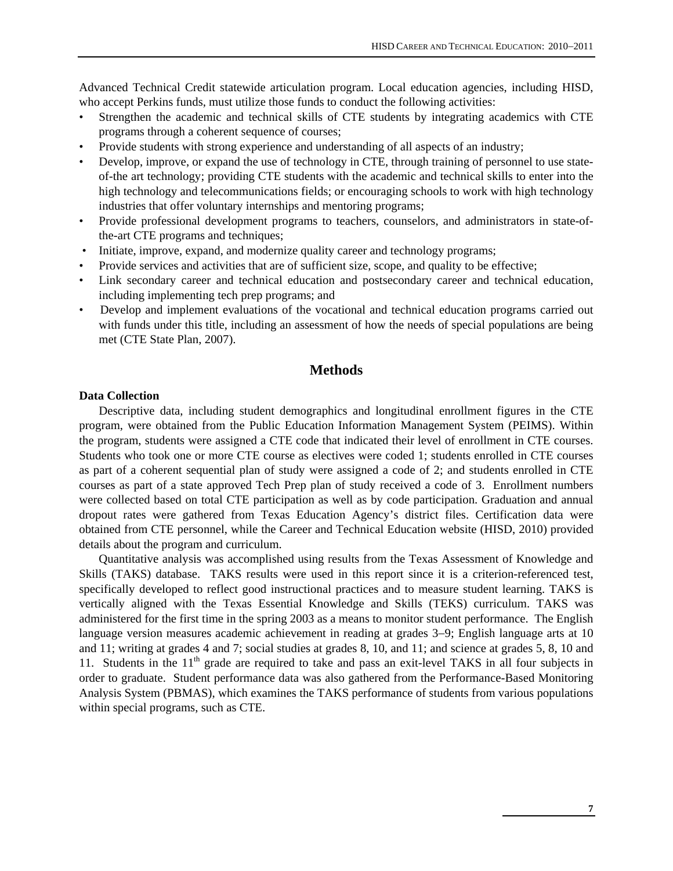Advanced Technical Credit statewide articulation program. Local education agencies, including HISD, who accept Perkins funds, must utilize those funds to conduct the following activities:

- Strengthen the academic and technical skills of CTE students by integrating academics with CTE programs through a coherent sequence of courses;
- Provide students with strong experience and understanding of all aspects of an industry;
- Develop, improve, or expand the use of technology in CTE, through training of personnel to use stateof-the art technology; providing CTE students with the academic and technical skills to enter into the high technology and telecommunications fields; or encouraging schools to work with high technology industries that offer voluntary internships and mentoring programs;
- Provide professional development programs to teachers, counselors, and administrators in state-ofthe-art CTE programs and techniques;
- Initiate, improve, expand, and modernize quality career and technology programs;
- Provide services and activities that are of sufficient size, scope, and quality to be effective;
- Link secondary career and technical education and postsecondary career and technical education, including implementing tech prep programs; and
- Develop and implement evaluations of the vocational and technical education programs carried out with funds under this title, including an assessment of how the needs of special populations are being met (CTE State Plan, 2007).

## **Methods**

#### **Data Collection**

Descriptive data, including student demographics and longitudinal enrollment figures in the CTE program, were obtained from the Public Education Information Management System (PEIMS). Within the program, students were assigned a CTE code that indicated their level of enrollment in CTE courses. Students who took one or more CTE course as electives were coded 1; students enrolled in CTE courses as part of a coherent sequential plan of study were assigned a code of 2; and students enrolled in CTE courses as part of a state approved Tech Prep plan of study received a code of 3. Enrollment numbers were collected based on total CTE participation as well as by code participation. Graduation and annual dropout rates were gathered from Texas Education Agency's district files. Certification data were obtained from CTE personnel, while the Career and Technical Education website (HISD, 2010) provided details about the program and curriculum.

Quantitative analysis was accomplished using results from the Texas Assessment of Knowledge and Skills (TAKS) database. TAKS results were used in this report since it is a criterion-referenced test, specifically developed to reflect good instructional practices and to measure student learning. TAKS is vertically aligned with the Texas Essential Knowledge and Skills (TEKS) curriculum. TAKS was administered for the first time in the spring 2003 as a means to monitor student performance. The English language version measures academic achievement in reading at grades 3−9; English language arts at 10 and 11; writing at grades 4 and 7; social studies at grades 8, 10, and 11; and science at grades 5, 8, 10 and 11. Students in the 11<sup>th</sup> grade are required to take and pass an exit-level TAKS in all four subjects in order to graduate. Student performance data was also gathered from the Performance-Based Monitoring Analysis System (PBMAS), which examines the TAKS performance of students from various populations within special programs, such as CTE.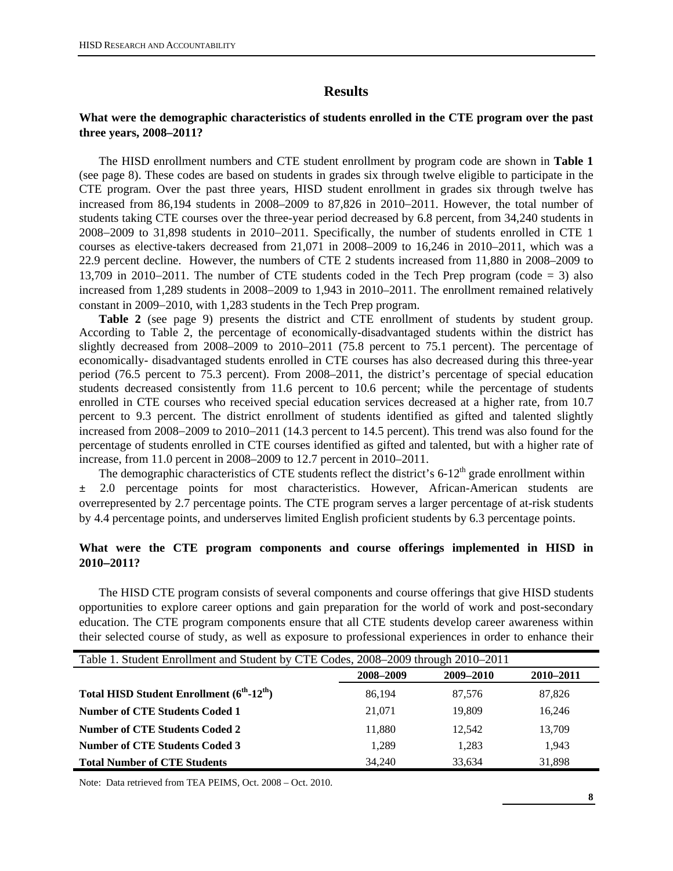## **Results**

## **What were the demographic characteristics of students enrolled in the CTE program over the past three years, 2008–2011?**

The HISD enrollment numbers and CTE student enrollment by program code are shown in **Table 1**  (see page 8). These codes are based on students in grades six through twelve eligible to participate in the CTE program. Over the past three years, HISD student enrollment in grades six through twelve has increased from 86,194 students in 2008–2009 to 87,826 in 2010−2011. However, the total number of students taking CTE courses over the three-year period decreased by 6.8 percent, from 34,240 students in 2008−2009 to 31,898 students in 2010−2011. Specifically, the number of students enrolled in CTE 1 courses as elective-takers decreased from 21,071 in 2008–2009 to 16,246 in 2010–2011, which was a 22.9 percent decline. However, the numbers of CTE 2 students increased from 11,880 in 2008–2009 to 13,709 in 2010−2011. The number of CTE students coded in the Tech Prep program (code = 3) also increased from 1,289 students in 2008−2009 to 1,943 in 2010–2011. The enrollment remained relatively constant in 2009−2010, with 1,283 students in the Tech Prep program.

**Table 2** (see page 9) presents the district and CTE enrollment of students by student group. According to Table 2, the percentage of economically-disadvantaged students within the district has slightly decreased from 2008–2009 to 2010–2011 (75.8 percent to 75.1 percent). The percentage of economically- disadvantaged students enrolled in CTE courses has also decreased during this three-year period (76.5 percent to 75.3 percent). From 2008–2011, the district's percentage of special education students decreased consistently from 11.6 percent to 10.6 percent; while the percentage of students enrolled in CTE courses who received special education services decreased at a higher rate, from 10.7 percent to 9.3 percent. The district enrollment of students identified as gifted and talented slightly increased from 2008−2009 to 2010−2011 (14.3 percent to 14.5 percent). This trend was also found for the percentage of students enrolled in CTE courses identified as gifted and talented, but with a higher rate of increase, from 11.0 percent in 2008–2009 to 12.7 percent in 2010–2011.

The demographic characteristics of CTE students reflect the district's  $6-12<sup>th</sup>$  grade enrollment within ± 2.0 percentage points for most characteristics. However, African-American students are overrepresented by 2.7 percentage points. The CTE program serves a larger percentage of at-risk students by 4.4 percentage points, and underserves limited English proficient students by 6.3 percentage points.

## **What were the CTE program components and course offerings implemented in HISD in 2010**−**2011?**

The HISD CTE program consists of several components and course offerings that give HISD students opportunities to explore career options and gain preparation for the world of work and post-secondary education. The CTE program components ensure that all CTE students develop career awareness within their selected course of study, as well as exposure to professional experiences in order to enhance their

| Table 1. Student Enrollment and Student by CTE Codes, 2008–2009 through 2010–2011 |           |           |           |  |  |  |  |  |  |  |
|-----------------------------------------------------------------------------------|-----------|-----------|-----------|--|--|--|--|--|--|--|
|                                                                                   | 2008-2009 | 2009-2010 | 2010-2011 |  |  |  |  |  |  |  |
| Total HISD Student Enrollment (6 <sup>th</sup> -12 <sup>th</sup> )                | 86.194    | 87,576    | 87,826    |  |  |  |  |  |  |  |
| Number of CTE Students Coded 1                                                    | 21.071    | 19,809    | 16.246    |  |  |  |  |  |  |  |
| <b>Number of CTE Students Coded 2</b>                                             | 11,880    | 12.542    | 13,709    |  |  |  |  |  |  |  |
| <b>Number of CTE Students Coded 3</b>                                             | 1,289     | 1,283     | 1.943     |  |  |  |  |  |  |  |
| <b>Total Number of CTE Students</b>                                               | 34,240    | 33.634    | 31,898    |  |  |  |  |  |  |  |

Note: Data retrieved from TEA PEIMS, Oct. 2008 – Oct. 2010.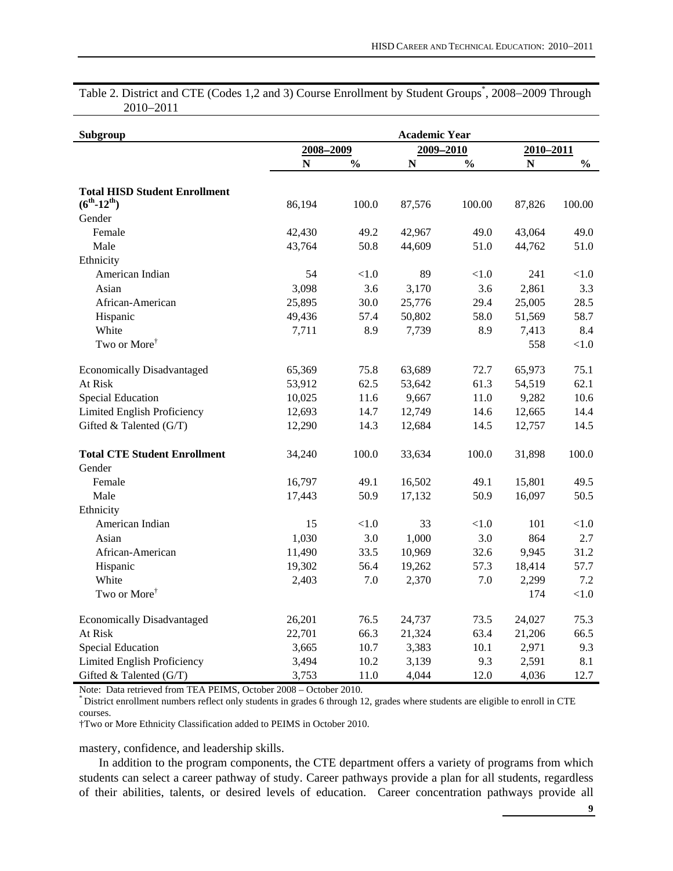Table 2. District and CTE (Codes 1,2 and 3) Course Enrollment by Student Groups<sup>\*</sup>, 2008–2009 Through 2010−2011

| Subgroup                                                     |           |               | <b>Academic Year</b> |               |           |               |
|--------------------------------------------------------------|-----------|---------------|----------------------|---------------|-----------|---------------|
|                                                              | 2008-2009 |               | 2009-2010            |               | 2010-2011 |               |
|                                                              | N         | $\frac{0}{0}$ | N                    | $\frac{0}{0}$ | N         | $\frac{0}{0}$ |
| <b>Total HISD Student Enrollment</b><br>$(6^{th} - 12^{th})$ | 86,194    | 100.0         | 87,576               | 100.00        | 87,826    | 100.00        |
| Gender                                                       |           |               |                      |               |           |               |
| Female                                                       | 42,430    | 49.2          | 42,967               | 49.0          | 43,064    | 49.0          |
| Male                                                         | 43,764    | 50.8          | 44,609               | 51.0          | 44,762    | 51.0          |
| Ethnicity                                                    |           |               |                      |               |           |               |
| American Indian                                              | 54        | < 1.0         | 89                   | < 1.0         | 241       | $<1.0$        |
| Asian                                                        | 3,098     | 3.6           | 3,170                | 3.6           | 2,861     | 3.3           |
| African-American                                             | 25,895    | 30.0          | 25,776               | 29.4          | 25,005    | 28.5          |
| Hispanic                                                     | 49,436    | 57.4          | 50,802               | 58.0          | 51,569    | 58.7          |
| White                                                        | 7,711     | 8.9           | 7,739                | 8.9           | 7,413     | 8.4           |
| Two or More <sup>†</sup>                                     |           |               |                      |               | 558       | $<1.0$        |
| <b>Economically Disadvantaged</b>                            | 65,369    | 75.8          | 63,689               | 72.7          | 65,973    | 75.1          |
| At Risk                                                      | 53,912    | 62.5          | 53,642               | 61.3          | 54,519    | 62.1          |
| <b>Special Education</b>                                     | 10,025    | 11.6          | 9,667                | 11.0          | 9,282     | 10.6          |
| Limited English Proficiency                                  | 12,693    | 14.7          | 12,749               | 14.6          | 12,665    | 14.4          |
| Gifted & Talented (G/T)                                      | 12,290    | 14.3          | 12,684               | 14.5          | 12,757    | 14.5          |
| <b>Total CTE Student Enrollment</b>                          | 34,240    | 100.0         | 33,634               | 100.0         | 31,898    | 100.0         |
| Gender                                                       |           |               |                      |               |           |               |
| Female                                                       | 16,797    | 49.1          | 16,502               | 49.1          | 15,801    | 49.5          |
| Male                                                         | 17,443    | 50.9          | 17,132               | 50.9          | 16,097    | 50.5          |
| Ethnicity                                                    |           |               |                      |               |           |               |
| American Indian                                              | 15        | < 1.0         | 33                   | < 1.0         | 101       | < 1.0         |
| Asian                                                        | 1,030     | 3.0           | 1,000                | 3.0           | 864       | 2.7           |
| African-American                                             | 11,490    | 33.5          | 10,969               | 32.6          | 9,945     | 31.2          |
| Hispanic                                                     | 19,302    | 56.4          | 19,262               | 57.3          | 18,414    | 57.7          |
| White                                                        | 2,403     | 7.0           | 2,370                | 7.0           | 2,299     | 7.2           |
| Two or More <sup><math>\dagger</math></sup>                  |           |               |                      |               | 174       | < 1.0         |
| <b>Economically Disadvantaged</b>                            | 26,201    | 76.5          | 24,737               | 73.5          | 24,027    | 75.3          |
| At Risk                                                      | 22,701    | 66.3          | 21,324               | 63.4          | 21,206    | 66.5          |
| <b>Special Education</b>                                     | 3,665     | 10.7          | 3,383                | 10.1          | 2,971     | 9.3           |
| Limited English Proficiency                                  | 3,494     | 10.2          | 3,139                | 9.3           | 2,591     | 8.1           |
| Gifted & Talented (G/T)                                      | 3,753     | 11.0          | 4,044                | 12.0          | 4,036     | 12.7          |

Note: Data retrieved from TEA PEIMS, October 2008 – October 2010.<br>
\* District enrollment numbers reflect only students in grades 6 through 12, grades where students are eligible to enroll in CTE courses.

†Two or More Ethnicity Classification added to PEIMS in October 2010.

mastery, confidence, and leadership skills.

In addition to the program components, the CTE department offers a variety of programs from which students can select a career pathway of study. Career pathways provide a plan for all students, regardless of their abilities, talents, or desired levels of education. Career concentration pathways provide all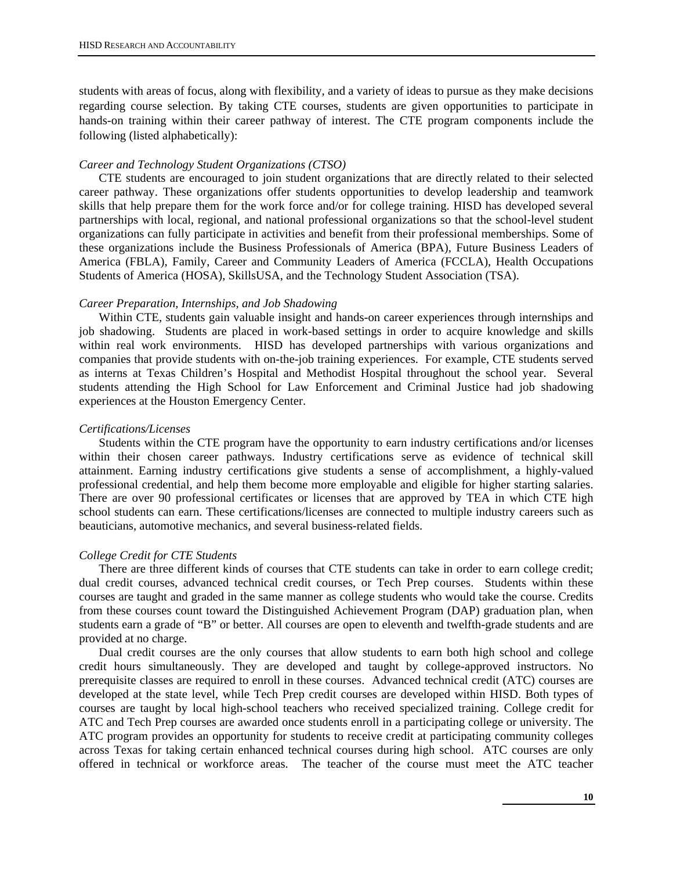students with areas of focus, along with flexibility, and a variety of ideas to pursue as they make decisions regarding course selection. By taking CTE courses, students are given opportunities to participate in hands-on training within their career pathway of interest. The CTE program components include the following (listed alphabetically):

#### *Career and Technology Student Organizations (CTSO)*

CTE students are encouraged to join student organizations that are directly related to their selected career pathway. These organizations offer students opportunities to develop leadership and teamwork skills that help prepare them for the work force and/or for college training. HISD has developed several partnerships with local, regional, and national professional organizations so that the school-level student organizations can fully participate in activities and benefit from their professional memberships. Some of these organizations include the Business Professionals of America (BPA), Future Business Leaders of America (FBLA), Family, Career and Community Leaders of America (FCCLA), Health Occupations Students of America (HOSA), SkillsUSA, and the Technology Student Association (TSA).

#### *Career Preparation, Internships, and Job Shadowing*

Within CTE, students gain valuable insight and hands-on career experiences through internships and job shadowing. Students are placed in work-based settings in order to acquire knowledge and skills within real work environments. HISD has developed partnerships with various organizations and companies that provide students with on-the-job training experiences. For example, CTE students served as interns at Texas Children's Hospital and Methodist Hospital throughout the school year. Several students attending the High School for Law Enforcement and Criminal Justice had job shadowing experiences at the Houston Emergency Center.

#### *Certifications/Licenses*

Students within the CTE program have the opportunity to earn industry certifications and/or licenses within their chosen career pathways. Industry certifications serve as evidence of technical skill attainment. Earning industry certifications give students a sense of accomplishment, a highly-valued professional credential, and help them become more employable and eligible for higher starting salaries. There are over 90 professional certificates or licenses that are approved by TEA in which CTE high school students can earn. These certifications/licenses are connected to multiple industry careers such as beauticians, automotive mechanics, and several business-related fields.

#### *College Credit for CTE Students*

There are three different kinds of courses that CTE students can take in order to earn college credit; dual credit courses, advanced technical credit courses, or Tech Prep courses. Students within these courses are taught and graded in the same manner as college students who would take the course. Credits from these courses count toward the Distinguished Achievement Program (DAP) graduation plan, when students earn a grade of "B" or better. All courses are open to eleventh and twelfth-grade students and are provided at no charge.

Dual credit courses are the only courses that allow students to earn both high school and college credit hours simultaneously. They are developed and taught by college-approved instructors. No prerequisite classes are required to enroll in these courses. Advanced technical credit (ATC) courses are developed at the state level, while Tech Prep credit courses are developed within HISD. Both types of courses are taught by local high-school teachers who received specialized training. College credit for ATC and Tech Prep courses are awarded once students enroll in a participating college or university. The ATC program provides an opportunity for students to receive credit at participating community colleges across Texas for taking certain enhanced technical courses during high school. ATC courses are only offered in technical or workforce areas. The teacher of the course must meet the ATC teacher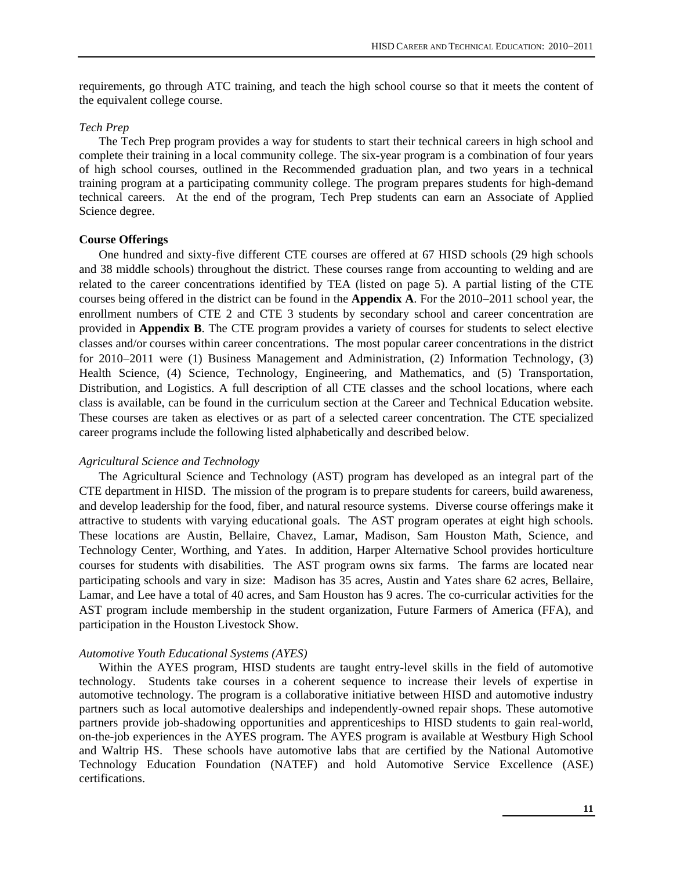requirements, go through ATC training, and teach the high school course so that it meets the content of the equivalent college course.

#### *Tech Prep*

The Tech Prep program provides a way for students to start their technical careers in high school and complete their training in a local community college. The six-year program is a combination of four years of high school courses, outlined in the Recommended graduation plan, and two years in a technical training program at a participating community college. The program prepares students for high-demand technical careers. At the end of the program, Tech Prep students can earn an Associate of Applied Science degree.

#### **Course Offerings**

One hundred and sixty-five different CTE courses are offered at 67 HISD schools (29 high schools and 38 middle schools) throughout the district. These courses range from accounting to welding and are related to the career concentrations identified by TEA (listed on page 5). A partial listing of the CTE courses being offered in the district can be found in the **Appendix A**. For the 2010−2011 school year, the enrollment numbers of CTE 2 and CTE 3 students by secondary school and career concentration are provided in **Appendix B**. The CTE program provides a variety of courses for students to select elective classes and/or courses within career concentrations. The most popular career concentrations in the district for 2010−2011 were (1) Business Management and Administration, (2) Information Technology, (3) Health Science, (4) Science, Technology, Engineering, and Mathematics, and (5) Transportation, Distribution, and Logistics. A full description of all CTE classes and the school locations, where each class is available, can be found in the curriculum section at the Career and Technical Education website. These courses are taken as electives or as part of a selected career concentration. The CTE specialized career programs include the following listed alphabetically and described below.

#### *Agricultural Science and Technology*

The Agricultural Science and Technology (AST) program has developed as an integral part of the CTE department in HISD. The mission of the program is to prepare students for careers, build awareness, and develop leadership for the food, fiber, and natural resource systems. Diverse course offerings make it attractive to students with varying educational goals. The AST program operates at eight high schools. These locations are Austin, Bellaire, Chavez, Lamar, Madison, Sam Houston Math, Science, and Technology Center, Worthing, and Yates. In addition, Harper Alternative School provides horticulture courses for students with disabilities. The AST program owns six farms. The farms are located near participating schools and vary in size: Madison has 35 acres, Austin and Yates share 62 acres, Bellaire, Lamar, and Lee have a total of 40 acres, and Sam Houston has 9 acres. The co-curricular activities for the AST program include membership in the student organization, Future Farmers of America (FFA), and participation in the Houston Livestock Show.

#### *Automotive Youth Educational Systems (AYES)*

Within the AYES program, HISD students are taught entry-level skills in the field of automotive technology. Students take courses in a coherent sequence to increase their levels of expertise in automotive technology. The program is a collaborative initiative between HISD and automotive industry partners such as local automotive dealerships and independently-owned repair shops. These automotive partners provide job-shadowing opportunities and apprenticeships to HISD students to gain real-world, on-the-job experiences in the AYES program. The AYES program is available at Westbury High School and Waltrip HS. These schools have automotive labs that are certified by the National Automotive Technology Education Foundation (NATEF) and hold Automotive Service Excellence (ASE) certifications.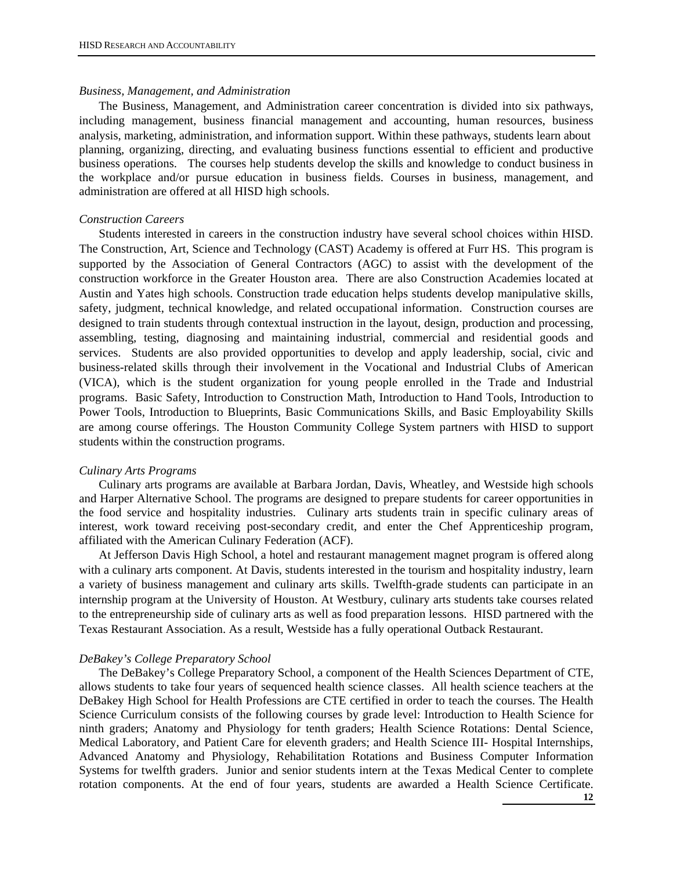#### *Business, Management, and Administration*

The Business, Management, and Administration career concentration is divided into six pathways, including management, business financial management and accounting, human resources, business analysis, marketing, administration, and information support. Within these pathways, students learn about planning, organizing, directing, and evaluating business functions essential to efficient and productive business operations. The courses help students develop the skills and knowledge to conduct business in the workplace and/or pursue education in business fields. Courses in business, management, and administration are offered at all HISD high schools.

#### *Construction Careers*

Students interested in careers in the construction industry have several school choices within HISD. The Construction, Art, Science and Technology (CAST) Academy is offered at Furr HS. This program is supported by the Association of General Contractors (AGC) to assist with the development of the construction workforce in the Greater Houston area. There are also Construction Academies located at Austin and Yates high schools. Construction trade education helps students develop manipulative skills, safety, judgment, technical knowledge, and related occupational information. Construction courses are designed to train students through contextual instruction in the layout, design, production and processing, assembling, testing, diagnosing and maintaining industrial, commercial and residential goods and services. Students are also provided opportunities to develop and apply leadership, social, civic and business-related skills through their involvement in the Vocational and Industrial Clubs of American (VICA), which is the student organization for young people enrolled in the Trade and Industrial programs. Basic Safety, Introduction to Construction Math, Introduction to Hand Tools, Introduction to Power Tools, Introduction to Blueprints, Basic Communications Skills, and Basic Employability Skills are among course offerings. The Houston Community College System partners with HISD to support students within the construction programs.

#### *Culinary Arts Programs*

Culinary arts programs are available at Barbara Jordan, Davis, Wheatley, and Westside high schools and Harper Alternative School. The programs are designed to prepare students for career opportunities in the food service and hospitality industries. Culinary arts students train in specific culinary areas of interest, work toward receiving post-secondary credit, and enter the Chef Apprenticeship program, affiliated with the American Culinary Federation (ACF).

At Jefferson Davis High School, a hotel and restaurant management magnet program is offered along with a culinary arts component. At Davis, students interested in the tourism and hospitality industry, learn a variety of business management and culinary arts skills. Twelfth-grade students can participate in an internship program at the University of Houston. At Westbury, culinary arts students take courses related to the entrepreneurship side of culinary arts as well as food preparation lessons. HISD partnered with the Texas Restaurant Association. As a result, Westside has a fully operational Outback Restaurant.

#### *DeBakey's College Preparatory School*

The DeBakey's College Preparatory School, a component of the Health Sciences Department of CTE, allows students to take four years of sequenced health science classes. All health science teachers at the DeBakey High School for Health Professions are CTE certified in order to teach the courses. The Health Science Curriculum consists of the following courses by grade level: Introduction to Health Science for ninth graders; Anatomy and Physiology for tenth graders; Health Science Rotations: Dental Science, Medical Laboratory, and Patient Care for eleventh graders; and Health Science III- Hospital Internships, Advanced Anatomy and Physiology, Rehabilitation Rotations and Business Computer Information Systems for twelfth graders. Junior and senior students intern at the Texas Medical Center to complete rotation components. At the end of four years, students are awarded a Health Science Certificate.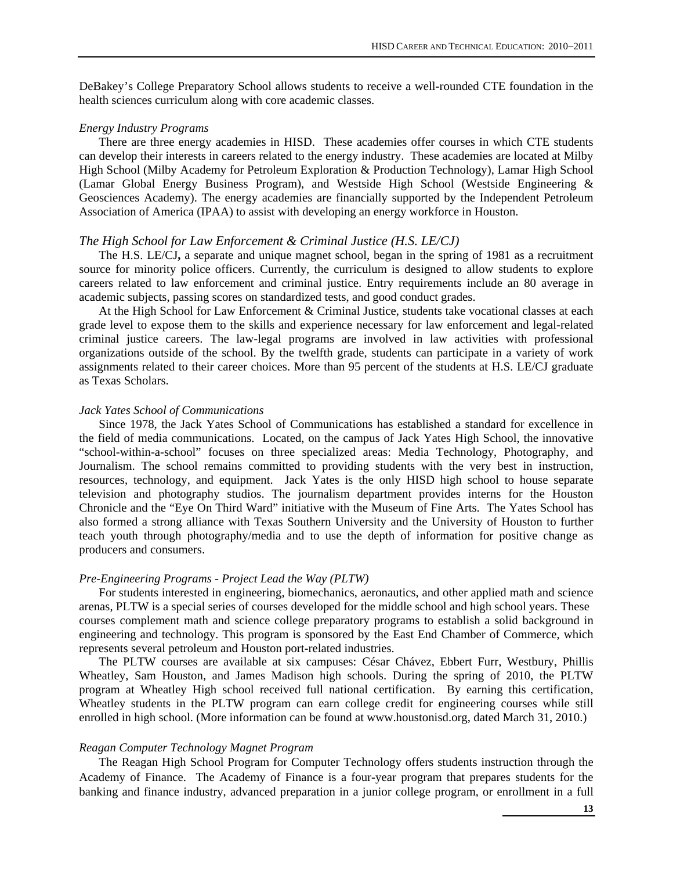DeBakey's College Preparatory School allows students to receive a well-rounded CTE foundation in the health sciences curriculum along with core academic classes.

#### *Energy Industry Programs*

There are three energy academies in HISD. These academies offer courses in which CTE students can develop their interests in careers related to the energy industry. These academies are located at Milby High School (Milby Academy for Petroleum Exploration & Production Technology), Lamar High School (Lamar Global Energy Business Program), and Westside High School (Westside Engineering & Geosciences Academy). The energy academies are financially supported by the Independent Petroleum Association of America (IPAA) to assist with developing an energy workforce in Houston.

#### *The High School for Law Enforcement & Criminal Justice (H.S. LE/CJ)*

The H.S. LE/CJ**,** a separate and unique magnet school, began in the spring of 1981 as a recruitment source for minority police officers. Currently, the curriculum is designed to allow students to explore careers related to law enforcement and criminal justice. Entry requirements include an 80 average in academic subjects, passing scores on standardized tests, and good conduct grades.

At the High School for Law Enforcement & Criminal Justice, students take vocational classes at each grade level to expose them to the skills and experience necessary for law enforcement and legal-related criminal justice careers. The law-legal programs are involved in law activities with professional organizations outside of the school. By the twelfth grade, students can participate in a variety of work assignments related to their career choices. More than 95 percent of the students at H.S. LE/CJ graduate as Texas Scholars.

#### *Jack Yates School of Communications*

Since 1978, the Jack Yates School of Communications has established a standard for excellence in the field of media communications. Located, on the campus of Jack Yates High School, the innovative "school-within-a-school" focuses on three specialized areas: Media Technology, Photography, and Journalism. The school remains committed to providing students with the very best in instruction, resources, technology, and equipment. Jack Yates is the only HISD high school to house separate television and photography studios. The journalism department provides interns for the Houston Chronicle and the "Eye On Third Ward" initiative with the Museum of Fine Arts. The Yates School has also formed a strong alliance with Texas Southern University and the University of Houston to further teach youth through photography/media and to use the depth of information for positive change as producers and consumers.

#### *Pre-Engineering Programs - Project Lead the Way (PLTW)*

For students interested in engineering, biomechanics, aeronautics, and other applied math and science arenas, PLTW is a special series of courses developed for the middle school and high school years. These courses complement math and science college preparatory programs to establish a solid background in engineering and technology. This program is sponsored by the East End Chamber of Commerce, which represents several petroleum and Houston port-related industries.

The PLTW courses are available at six campuses: César Chávez, Ebbert Furr, Westbury, Phillis Wheatley, Sam Houston, and James Madison high schools. During the spring of 2010, the PLTW program at Wheatley High school received full national certification. By earning this certification, Wheatley students in the PLTW program can earn college credit for engineering courses while still enrolled in high school. (More information can be found at www.houstonisd.org, dated March 31, 2010.)

#### *Reagan Computer Technology Magnet Program*

The Reagan High School Program for Computer Technology offers students instruction through the Academy of Finance. The Academy of Finance is a four-year program that prepares students for the banking and finance industry, advanced preparation in a junior college program, or enrollment in a full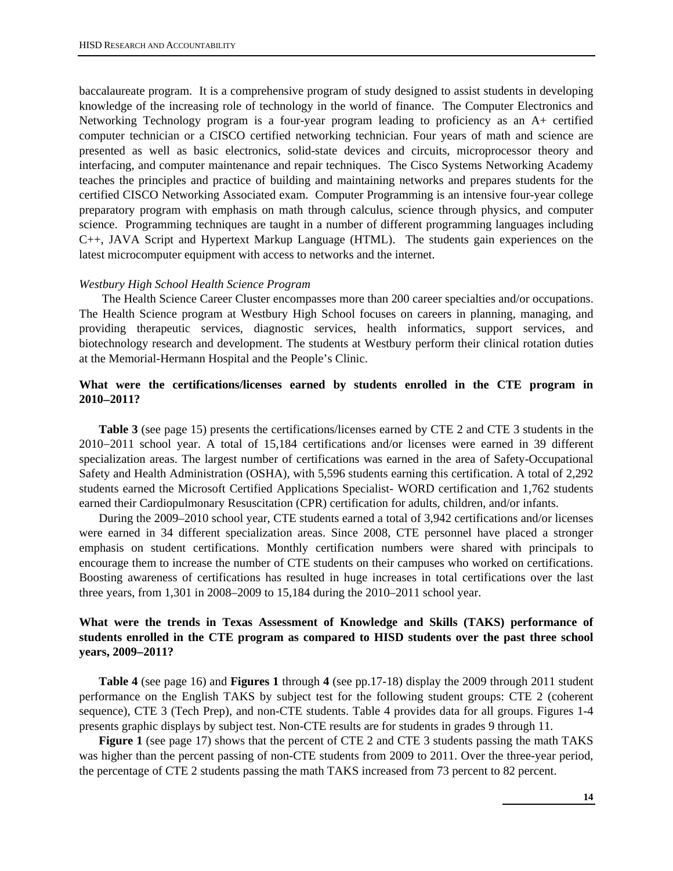baccalaureate program. It is a comprehensive program of study designed to assist students in developing knowledge of the increasing role of technology in the world of finance. The Computer Electronics and Networking Technology program is a four-year program leading to proficiency as an A+ certified computer technician or a CISCO certified networking technician. Four years of math and science are presented as well as basic electronics, solid-state devices and circuits, microprocessor theory and interfacing, and computer maintenance and repair techniques. The Cisco Systems Networking Academy teaches the principles and practice of building and maintaining networks and prepares students for the certified CISCO Networking Associated exam. Computer Programming is an intensive four-year college preparatory program with emphasis on math through calculus, science through physics, and computer science. Programming techniques are taught in a number of different programming languages including C++, JAVA Script and Hypertext Markup Language (HTML). The students gain experiences on the latest microcomputer equipment with access to networks and the internet.

#### *Westbury High School Health Science Program*

 The Health Science Career Cluster encompasses more than 200 career specialties and/or occupations. The Health Science program at Westbury High School focuses on careers in planning, managing, and providing therapeutic services, diagnostic services, health informatics, support services, and biotechnology research and development. The students at Westbury perform their clinical rotation duties at the Memorial-Hermann Hospital and the People's Clinic.

## **What were the certifications/licenses earned by students enrolled in the CTE program in 2010**−**2011?**

**Table 3** (see page 15) presents the certifications/licenses earned by CTE 2 and CTE 3 students in the 2010−2011 school year. A total of 15,184 certifications and/or licenses were earned in 39 different specialization areas. The largest number of certifications was earned in the area of Safety-Occupational Safety and Health Administration (OSHA), with 5,596 students earning this certification. A total of 2,292 students earned the Microsoft Certified Applications Specialist- WORD certification and 1,762 students earned their Cardiopulmonary Resuscitation (CPR) certification for adults, children, and/or infants.

During the 2009–2010 school year, CTE students earned a total of 3,942 certifications and/or licenses were earned in 34 different specialization areas. Since 2008, CTE personnel have placed a stronger emphasis on student certifications. Monthly certification numbers were shared with principals to encourage them to increase the number of CTE students on their campuses who worked on certifications. Boosting awareness of certifications has resulted in huge increases in total certifications over the last three years, from 1,301 in 2008–2009 to 15,184 during the 2010–2011 school year.

## **What were the trends in Texas Assessment of Knowledge and Skills (TAKS) performance of students enrolled in the CTE program as compared to HISD students over the past three school years, 2009**−**2011?**

**Table 4** (see page 16) and **Figures 1** through **4** (see pp.17-18) display the 2009 through 2011 student performance on the English TAKS by subject test for the following student groups: CTE 2 (coherent sequence), CTE 3 (Tech Prep), and non-CTE students. Table 4 provides data for all groups. Figures 1-4 presents graphic displays by subject test. Non-CTE results are for students in grades 9 through 11.

**Figure 1** (see page 17) shows that the percent of CTE 2 and CTE 3 students passing the math TAKS was higher than the percent passing of non-CTE students from 2009 to 2011. Over the three-year period, the percentage of CTE 2 students passing the math TAKS increased from 73 percent to 82 percent.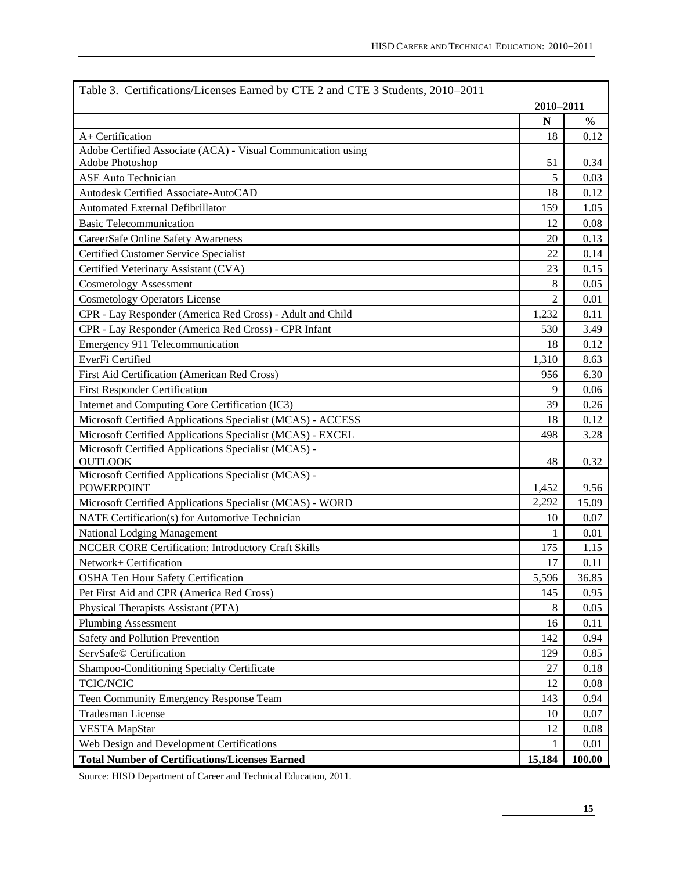| Table 3. Certifications/Licenses Earned by CTE 2 and CTE 3 Students, 2010–2011 |                          |               |
|--------------------------------------------------------------------------------|--------------------------|---------------|
|                                                                                | 2010-2011                |               |
|                                                                                | $\underline{\mathbf{N}}$ | $\frac{0}{0}$ |
| A+ Certification                                                               | 18                       | 0.12          |
| Adobe Certified Associate (ACA) - Visual Communication using                   |                          |               |
| Adobe Photoshop                                                                | 51                       | 0.34          |
| <b>ASE Auto Technician</b>                                                     | 5                        | 0.03          |
| Autodesk Certified Associate-AutoCAD                                           | 18                       | 0.12          |
| Automated External Defibrillator                                               | 159                      | 1.05          |
| <b>Basic Telecommunication</b>                                                 | 12                       | 0.08          |
| CareerSafe Online Safety Awareness                                             | 20                       | 0.13          |
| Certified Customer Service Specialist                                          | 22                       | 0.14          |
| Certified Veterinary Assistant (CVA)                                           | 23                       | 0.15          |
| <b>Cosmetology Assessment</b>                                                  | 8                        | 0.05          |
| <b>Cosmetology Operators License</b>                                           | $\overline{c}$           | 0.01          |
| CPR - Lay Responder (America Red Cross) - Adult and Child                      | 1,232                    | 8.11          |
| CPR - Lay Responder (America Red Cross) - CPR Infant                           | 530                      | 3.49          |
| Emergency 911 Telecommunication                                                | 18                       | 0.12          |
| EverFi Certified                                                               | 1,310                    | 8.63          |
| First Aid Certification (American Red Cross)                                   | 956                      | 6.30          |
| <b>First Responder Certification</b>                                           | 9                        | 0.06          |
| Internet and Computing Core Certification (IC3)                                | 39                       | 0.26          |
| Microsoft Certified Applications Specialist (MCAS) - ACCESS                    | 18                       | 0.12          |
| Microsoft Certified Applications Specialist (MCAS) - EXCEL                     | 498                      | 3.28          |
| Microsoft Certified Applications Specialist (MCAS) -<br><b>OUTLOOK</b>         | 48                       | 0.32          |
| Microsoft Certified Applications Specialist (MCAS) -                           |                          |               |
| <b>POWERPOINT</b>                                                              | 1,452                    | 9.56          |
| Microsoft Certified Applications Specialist (MCAS) - WORD                      | 2,292                    | 15.09         |
| NATE Certification(s) for Automotive Technician                                | 10                       | 0.07          |
| National Lodging Management                                                    | 1                        | 0.01          |
| NCCER CORE Certification: Introductory Craft Skills                            | 175                      | 1.15          |
| Network+ Certification                                                         | 17                       | 0.11          |
| OSHA Ten Hour Safety Certification                                             | 5,596                    | 36.85         |
| Pet First Aid and CPR (America Red Cross)                                      | 145                      | 0.95          |
| Physical Therapists Assistant (PTA)                                            | 8                        | 0.05          |
| <b>Plumbing Assessment</b>                                                     | 16                       | 0.11          |
| Safety and Pollution Prevention                                                | 142                      | 0.94          |
| ServSafe© Certification                                                        | 129                      | 0.85          |
| Shampoo-Conditioning Specialty Certificate                                     | 27                       | 0.18          |
| TCIC/NCIC                                                                      | 12                       | 0.08          |
| Teen Community Emergency Response Team                                         | 143                      | 0.94          |
| <b>Tradesman License</b>                                                       | 10                       | 0.07          |
| <b>VESTA MapStar</b>                                                           | 12                       | 0.08          |
| Web Design and Development Certifications                                      | 1                        | 0.01          |
| <b>Total Number of Certifications/Licenses Earned</b>                          | 15,184                   | 100.00        |

Source: HISD Department of Career and Technical Education, 2011.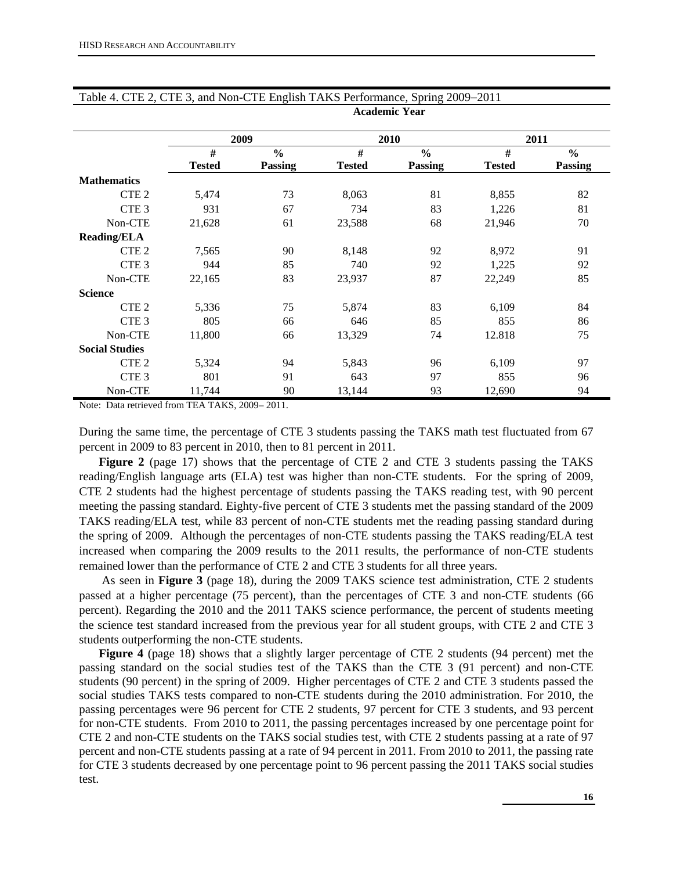|                       |               | 2009          |               | 2010           |               | 2011          |
|-----------------------|---------------|---------------|---------------|----------------|---------------|---------------|
|                       | #             | $\frac{6}{6}$ | #             | $\frac{0}{0}$  | #             | $\frac{6}{6}$ |
|                       | <b>Tested</b> | Passing       | <b>Tested</b> | <b>Passing</b> | <b>Tested</b> | Passing       |
| <b>Mathematics</b>    |               |               |               |                |               |               |
| CTE <sub>2</sub>      | 5,474         | 73            | 8,063         | 81             | 8,855         | 82            |
| CTE <sub>3</sub>      | 931           | 67            | 734           | 83             | 1,226         | 81            |
| Non-CTE               | 21,628        | 61            | 23,588        | 68             | 21,946        | 70            |
| <b>Reading/ELA</b>    |               |               |               |                |               |               |
| CTE <sub>2</sub>      | 7,565         | 90            | 8,148         | 92             | 8,972         | 91            |
| CTE <sub>3</sub>      | 944           | 85            | 740           | 92             | 1,225         | 92            |
| Non-CTE               | 22,165        | 83            | 23,937        | 87             | 22,249        | 85            |
| <b>Science</b>        |               |               |               |                |               |               |
| CTE <sub>2</sub>      | 5,336         | 75            | 5,874         | 83             | 6,109         | 84            |
| CTE <sub>3</sub>      | 805           | 66            | 646           | 85             | 855           | 86            |
| Non-CTE               | 11,800        | 66            | 13,329        | 74             | 12.818        | 75            |
| <b>Social Studies</b> |               |               |               |                |               |               |
| CTE <sub>2</sub>      | 5,324         | 94            | 5,843         | 96             | 6,109         | 97            |
| CTE <sub>3</sub>      | 801           | 91            | 643           | 97             | 855           | 96            |
| Non-CTE               | 11,744        | 90            | 13,144        | 93             | 12,690        | 94            |

#### Table 4. CTE 2, CTE 3, and Non-CTE English TAKS Performance, Spring 2009−2011 **Academic Year**

Note: Data retrieved from TEA TAKS, 2009– 2011.

During the same time, the percentage of CTE 3 students passing the TAKS math test fluctuated from 67 percent in 2009 to 83 percent in 2010, then to 81 percent in 2011.

**Figure 2** (page 17) shows that the percentage of CTE 2 and CTE 3 students passing the TAKS reading/English language arts (ELA) test was higher than non-CTE students. For the spring of 2009, CTE 2 students had the highest percentage of students passing the TAKS reading test, with 90 percent meeting the passing standard. Eighty-five percent of CTE 3 students met the passing standard of the 2009 TAKS reading/ELA test, while 83 percent of non-CTE students met the reading passing standard during the spring of 2009. Although the percentages of non-CTE students passing the TAKS reading/ELA test increased when comparing the 2009 results to the 2011 results, the performance of non-CTE students remained lower than the performance of CTE 2 and CTE 3 students for all three years.

 As seen in **Figure 3** (page 18), during the 2009 TAKS science test administration, CTE 2 students passed at a higher percentage (75 percent), than the percentages of CTE 3 and non-CTE students (66 percent). Regarding the 2010 and the 2011 TAKS science performance, the percent of students meeting the science test standard increased from the previous year for all student groups, with CTE 2 and CTE 3 students outperforming the non-CTE students.

**Figure 4** (page 18) shows that a slightly larger percentage of CTE 2 students (94 percent) met the passing standard on the social studies test of the TAKS than the CTE 3 (91 percent) and non-CTE students (90 percent) in the spring of 2009. Higher percentages of CTE 2 and CTE 3 students passed the social studies TAKS tests compared to non-CTE students during the 2010 administration. For 2010, the passing percentages were 96 percent for CTE 2 students, 97 percent for CTE 3 students, and 93 percent for non-CTE students. From 2010 to 2011, the passing percentages increased by one percentage point for CTE 2 and non-CTE students on the TAKS social studies test, with CTE 2 students passing at a rate of 97 percent and non-CTE students passing at a rate of 94 percent in 2011. From 2010 to 2011, the passing rate for CTE 3 students decreased by one percentage point to 96 percent passing the 2011 TAKS social studies test.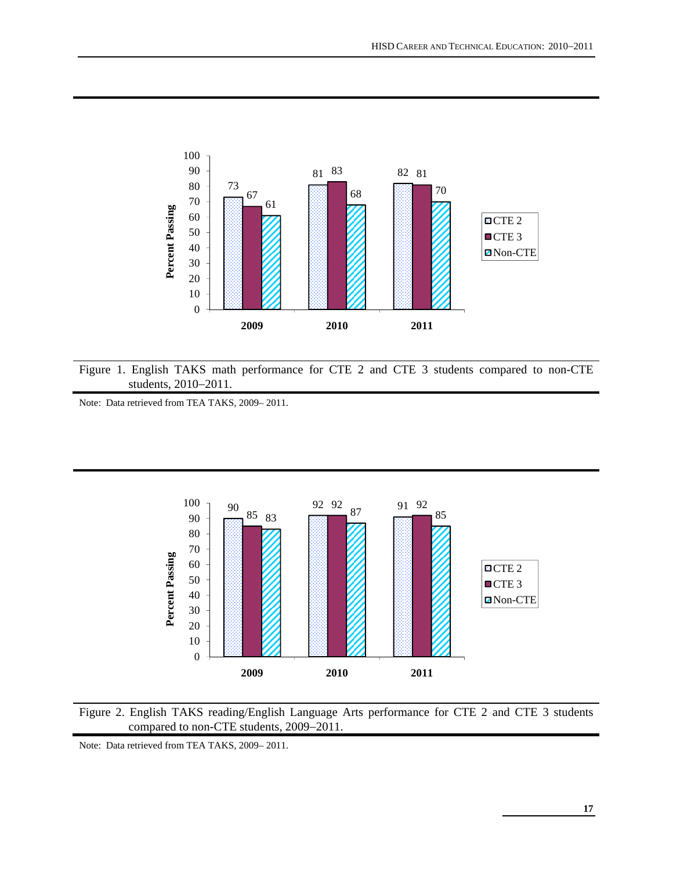

Figure 1. English TAKS math performance for CTE 2 and CTE 3 students compared to non-CTE students, 2010−2011.

Note: Data retrieved from TEA TAKS, 2009– 2011.





Note: Data retrieved from TEA TAKS, 2009– 2011.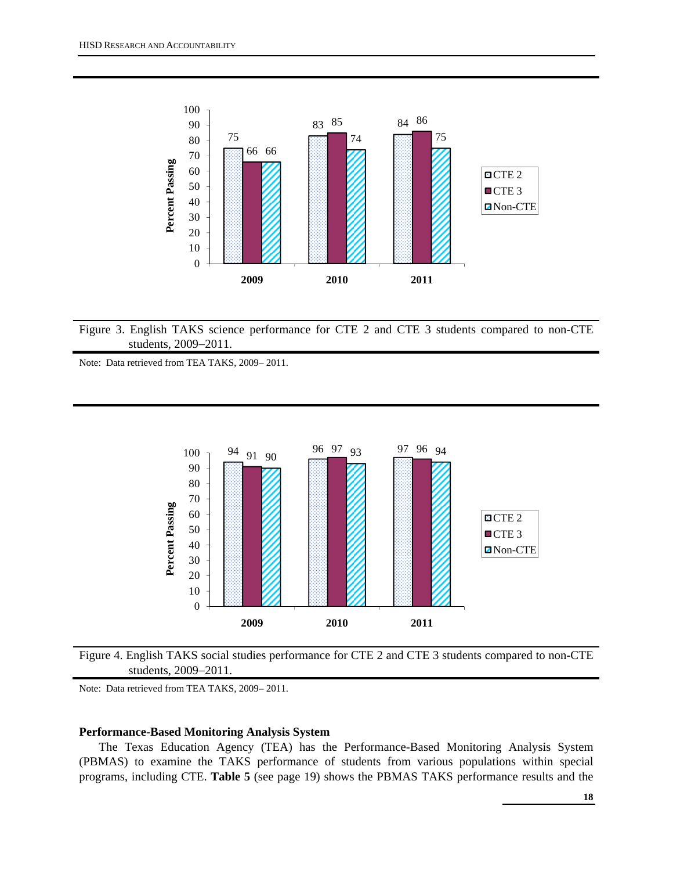

Figure 3. English TAKS science performance for CTE 2 and CTE 3 students compared to non-CTE students, 2009−2011.

Note: Data retrieved from TEA TAKS, 2009– 2011.



Figure 4. English TAKS social studies performance for CTE 2 and CTE 3 students compared to non-CTE students, 2009−2011.

Note: Data retrieved from TEA TAKS, 2009– 2011.

## **Performance-Based Monitoring Analysis System**

The Texas Education Agency (TEA) has the Performance-Based Monitoring Analysis System (PBMAS) to examine the TAKS performance of students from various populations within special programs, including CTE. **Table 5** (see page 19) shows the PBMAS TAKS performance results and the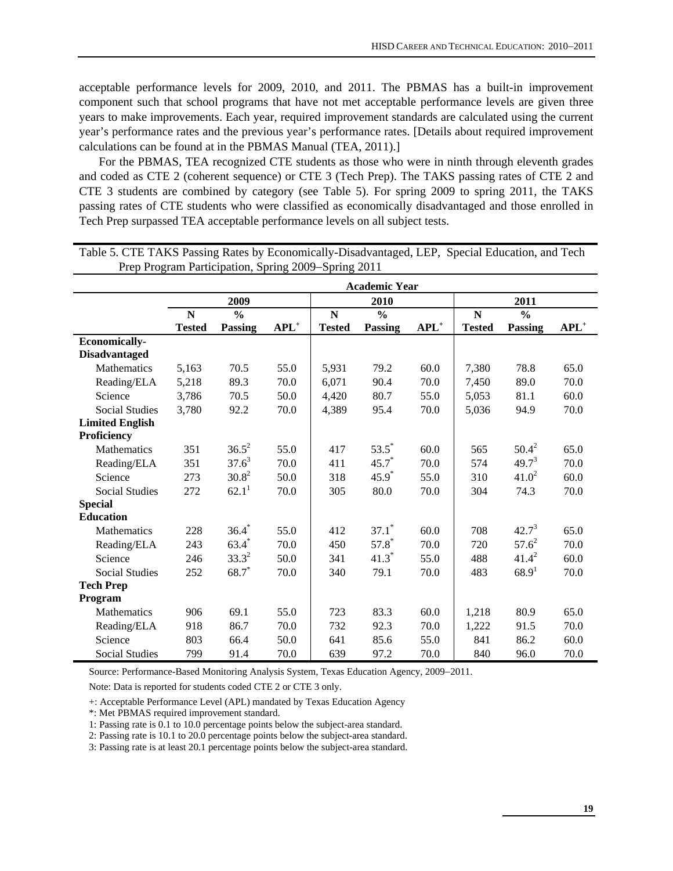acceptable performance levels for 2009, 2010, and 2011. The PBMAS has a built-in improvement component such that school programs that have not met acceptable performance levels are given three years to make improvements. Each year, required improvement standards are calculated using the current year's performance rates and the previous year's performance rates. [Details about required improvement calculations can be found at in the PBMAS Manual (TEA, 2011).]

For the PBMAS, TEA recognized CTE students as those who were in ninth through eleventh grades and coded as CTE 2 (coherent sequence) or CTE 3 (Tech Prep). The TAKS passing rates of CTE 2 and CTE 3 students are combined by category (see Table 5). For spring 2009 to spring 2011, the TAKS passing rates of CTE students who were classified as economically disadvantaged and those enrolled in Tech Prep surpassed TEA acceptable performance levels on all subject tests.

|                                              |                    | <b>Academic Year</b><br>2009<br>2011<br>2010 |         |                              |                                 |         |                    |                                 |         |  |  |  |
|----------------------------------------------|--------------------|----------------------------------------------|---------|------------------------------|---------------------------------|---------|--------------------|---------------------------------|---------|--|--|--|
|                                              |                    |                                              |         |                              |                                 |         |                    |                                 |         |  |  |  |
|                                              | N<br><b>Tested</b> | $\frac{0}{0}$<br><b>Passing</b>              | $APL^+$ | $\mathbf N$<br><b>Tested</b> | $\frac{0}{0}$<br><b>Passing</b> | $APL^+$ | N<br><b>Tested</b> | $\frac{0}{0}$<br><b>Passing</b> | $APL^+$ |  |  |  |
| <b>Economically-</b><br><b>Disadvantaged</b> |                    |                                              |         |                              |                                 |         |                    |                                 |         |  |  |  |
| <b>Mathematics</b>                           | 5,163              | 70.5                                         | 55.0    | 5,931                        | 79.2                            | 60.0    | 7,380              | 78.8                            | 65.0    |  |  |  |
| Reading/ELA                                  | 5,218              | 89.3                                         | 70.0    | 6,071                        | 90.4                            | 70.0    | 7,450              | 89.0                            | 70.0    |  |  |  |
| Science                                      | 3,786              | 70.5                                         | 50.0    | 4,420                        | 80.7                            | 55.0    | 5,053              | 81.1                            | 60.0    |  |  |  |
| <b>Social Studies</b>                        | 3,780              | 92.2                                         | 70.0    | 4,389                        | 95.4                            | 70.0    | 5,036              | 94.9                            | 70.0    |  |  |  |
| <b>Limited English</b><br>Proficiency        |                    |                                              |         |                              |                                 |         |                    |                                 |         |  |  |  |
| Mathematics                                  | 351                | $36.5^2$                                     | 55.0    | 417                          | $53.5^{*}$                      | 60.0    | 565                | $50.4^2$                        | 65.0    |  |  |  |
| Reading/ELA                                  | 351                | $37.6^3$                                     | 70.0    | 411                          | $45.7*$                         | 70.0    | 574                | $49.7^3$                        | 70.0    |  |  |  |
| Science                                      | 273                | $30.8^2$                                     | 50.0    | 318                          | $45.9*$                         | 55.0    | 310                | $41.0^2$                        | 60.0    |  |  |  |
| <b>Social Studies</b>                        | 272                | 62.1 <sup>1</sup>                            | 70.0    | 305                          | 80.0                            | 70.0    | 304                | 74.3                            | 70.0    |  |  |  |
| <b>Special</b>                               |                    |                                              |         |                              |                                 |         |                    |                                 |         |  |  |  |
| <b>Education</b>                             |                    |                                              |         |                              |                                 |         |                    |                                 |         |  |  |  |
| Mathematics                                  | 228                | $36.4*$                                      | 55.0    | 412                          | $37.1*$                         | 60.0    | 708                | $42.7^3$                        | 65.0    |  |  |  |
| Reading/ELA                                  | 243                | $63.4*$                                      | 70.0    | 450                          | $57.8*$                         | 70.0    | 720                | $57.6^2$                        | 70.0    |  |  |  |
| Science                                      | 246                | $33.3^{2}$                                   | 50.0    | 341                          | $41.3*$                         | 55.0    | 488                | $41.4^2$                        | 60.0    |  |  |  |
| <b>Social Studies</b>                        | 252                | $68.7*$                                      | 70.0    | 340                          | 79.1                            | 70.0    | 483                | 68.9 <sup>1</sup>               | 70.0    |  |  |  |
| <b>Tech Prep</b>                             |                    |                                              |         |                              |                                 |         |                    |                                 |         |  |  |  |
| Program                                      |                    |                                              |         |                              |                                 |         |                    |                                 |         |  |  |  |
| Mathematics                                  | 906                | 69.1                                         | 55.0    | 723                          | 83.3                            | 60.0    | 1,218              | 80.9                            | 65.0    |  |  |  |
| Reading/ELA                                  | 918                | 86.7                                         | 70.0    | 732                          | 92.3                            | 70.0    | 1,222              | 91.5                            | 70.0    |  |  |  |
| Science                                      | 803                | 66.4                                         | 50.0    | 641                          | 85.6                            | 55.0    | 841                | 86.2                            | 60.0    |  |  |  |
| <b>Social Studies</b>                        | 799                | 91.4                                         | 70.0    | 639                          | 97.2                            | 70.0    | 840                | 96.0                            | 70.0    |  |  |  |

Table 5. CTE TAKS Passing Rates by Economically-Disadvantaged, LEP, Special Education, and Tech Prep Program Participation, Spring 2009−Spring 2011

Source: Performance-Based Monitoring Analysis System, Texas Education Agency, 2009−2011.

Note: Data is reported for students coded CTE 2 or CTE 3 only.

+: Acceptable Performance Level (APL) mandated by Texas Education Agency

\*: Met PBMAS required improvement standard.

1: Passing rate is 0.1 to 10.0 percentage points below the subject-area standard.

2: Passing rate is 10.1 to 20.0 percentage points below the subject-area standard.

3: Passing rate is at least 20.1 percentage points below the subject-area standard.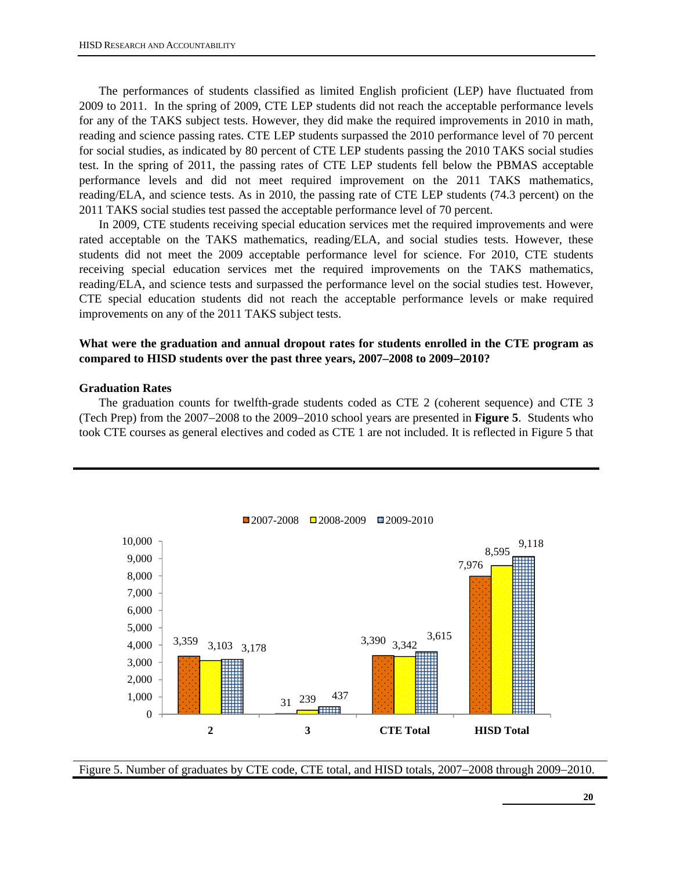The performances of students classified as limited English proficient (LEP) have fluctuated from 2009 to 2011. In the spring of 2009, CTE LEP students did not reach the acceptable performance levels for any of the TAKS subject tests. However, they did make the required improvements in 2010 in math, reading and science passing rates. CTE LEP students surpassed the 2010 performance level of 70 percent for social studies, as indicated by 80 percent of CTE LEP students passing the 2010 TAKS social studies test. In the spring of 2011, the passing rates of CTE LEP students fell below the PBMAS acceptable performance levels and did not meet required improvement on the 2011 TAKS mathematics, reading/ELA, and science tests. As in 2010, the passing rate of CTE LEP students (74.3 percent) on the 2011 TAKS social studies test passed the acceptable performance level of 70 percent.

In 2009, CTE students receiving special education services met the required improvements and were rated acceptable on the TAKS mathematics, reading/ELA, and social studies tests. However, these students did not meet the 2009 acceptable performance level for science. For 2010, CTE students receiving special education services met the required improvements on the TAKS mathematics, reading/ELA, and science tests and surpassed the performance level on the social studies test. However, CTE special education students did not reach the acceptable performance levels or make required improvements on any of the 2011 TAKS subject tests.

## **What were the graduation and annual dropout rates for students enrolled in the CTE program as compared to HISD students over the past three years, 2007–2008 to 2009**−**2010?**

#### **Graduation Rates**

The graduation counts for twelfth-grade students coded as CTE 2 (coherent sequence) and CTE 3 (Tech Prep) from the 2007−2008 to the 2009−2010 school years are presented in **Figure 5**.Students who took CTE courses as general electives and coded as CTE 1 are not included. It is reflected in Figure 5 that



Figure 5. Number of graduates by CTE code, CTE total, and HISD totals, 2007−2008 through 2009−2010.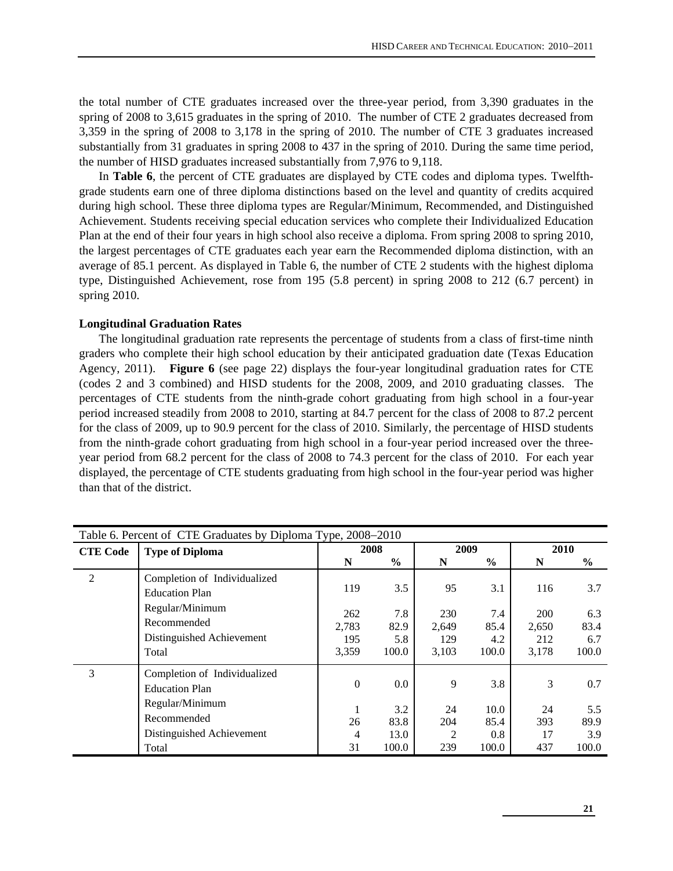the total number of CTE graduates increased over the three-year period, from 3,390 graduates in the spring of 2008 to 3,615 graduates in the spring of 2010. The number of CTE 2 graduates decreased from 3,359 in the spring of 2008 to 3,178 in the spring of 2010. The number of CTE 3 graduates increased substantially from 31 graduates in spring 2008 to 437 in the spring of 2010. During the same time period, the number of HISD graduates increased substantially from 7,976 to 9,118.

In **Table 6**, the percent of CTE graduates are displayed by CTE codes and diploma types. Twelfthgrade students earn one of three diploma distinctions based on the level and quantity of credits acquired during high school. These three diploma types are Regular/Minimum, Recommended, and Distinguished Achievement. Students receiving special education services who complete their Individualized Education Plan at the end of their four years in high school also receive a diploma. From spring 2008 to spring 2010, the largest percentages of CTE graduates each year earn the Recommended diploma distinction, with an average of 85.1 percent. As displayed in Table 6, the number of CTE 2 students with the highest diploma type, Distinguished Achievement, rose from 195 (5.8 percent) in spring 2008 to 212 (6.7 percent) in spring 2010.

#### **Longitudinal Graduation Rates**

The longitudinal graduation rate represents the percentage of students from a class of first-time ninth graders who complete their high school education by their anticipated graduation date (Texas Education Agency, 2011). **Figure 6** (see page 22) displays the four-year longitudinal graduation rates for CTE (codes 2 and 3 combined) and HISD students for the 2008, 2009, and 2010 graduating classes. The percentages of CTE students from the ninth-grade cohort graduating from high school in a four-year period increased steadily from 2008 to 2010, starting at 84.7 percent for the class of 2008 to 87.2 percent for the class of 2009, up to 90.9 percent for the class of 2010. Similarly, the percentage of HISD students from the ninth-grade cohort graduating from high school in a four-year period increased over the threeyear period from 68.2 percent for the class of 2008 to 74.3 percent for the class of 2010. For each year displayed, the percentage of CTE students graduating from high school in the four-year period was higher than that of the district.

|                 | Table 6. Percent of CTE Graduates by Diploma Type, 2008–2010 |          |               |       |               |       |       |  |  |  |
|-----------------|--------------------------------------------------------------|----------|---------------|-------|---------------|-------|-------|--|--|--|
| <b>CTE Code</b> | <b>Type of Diploma</b>                                       |          | 2008          |       | 2009          | 2010  |       |  |  |  |
|                 |                                                              | N        | $\frac{6}{6}$ | N     | $\frac{6}{6}$ | N     | $\%$  |  |  |  |
| $\overline{2}$  | Completion of Individualized                                 | 119      | 3.5           | 95    | 3.1           | 116   | 3.7   |  |  |  |
|                 | <b>Education Plan</b>                                        |          |               |       |               |       |       |  |  |  |
|                 | Regular/Minimum                                              | 262      | 7.8           | 230   | 7.4           | 200   | 6.3   |  |  |  |
|                 | Recommended                                                  | 2,783    | 82.9          | 2,649 | 85.4          | 2,650 | 83.4  |  |  |  |
|                 | Distinguished Achievement                                    | 195      | 5.8           | 129   | 4.2           | 212   | 6.7   |  |  |  |
|                 | Total                                                        | 3,359    | 100.0         | 3,103 | 100.0         | 3,178 | 100.0 |  |  |  |
| 3               | Completion of Individualized                                 |          |               |       |               |       |       |  |  |  |
|                 | <b>Education Plan</b>                                        | $\theta$ | 0.0           | 9     | 3.8           | 3     | 0.7   |  |  |  |
|                 | Regular/Minimum                                              |          | 3.2           | 24    | 10.0          | 24    | 5.5   |  |  |  |
|                 | Recommended                                                  | 26       | 83.8          | 204   | 85.4          | 393   | 89.9  |  |  |  |
|                 | Distinguished Achievement                                    | 4        | 13.0          | 2     | 0.8           | 17    | 3.9   |  |  |  |
|                 | Total                                                        | 31       | 100.0         | 239   | 100.0         | 437   | 100.0 |  |  |  |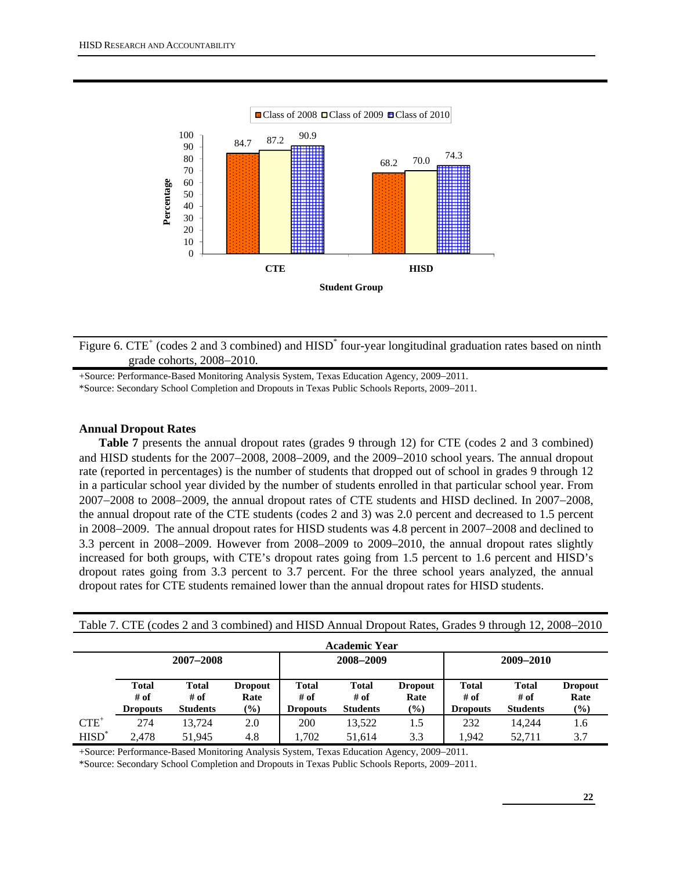

Figure 6. CTE<sup>+</sup> (codes 2 and 3 combined) and  $HISD^*$  four-year longitudinal graduation rates based on ninth grade cohorts, 2008−2010.

+Source: Performance-Based Monitoring Analysis System, Texas Education Agency, 2009−2011.

\*Source: Secondary School Completion and Dropouts in Texas Public Schools Reports, 2009−2011.

#### **Annual Dropout Rates**

**Table 7** presents the annual dropout rates (grades 9 through 12) for CTE (codes 2 and 3 combined) and HISD students for the 2007−2008, 2008−2009, and the 2009−2010 school years. The annual dropout rate (reported in percentages) is the number of students that dropped out of school in grades 9 through 12 in a particular school year divided by the number of students enrolled in that particular school year. From 2007−2008 to 2008−2009, the annual dropout rates of CTE students and HISD declined. In 2007−2008, the annual dropout rate of the CTE students (codes 2 and 3) was 2.0 percent and decreased to 1.5 percent in 2008−2009. The annual dropout rates for HISD students was 4.8 percent in 2007−2008 and declined to 3.3 percent in 2008−2009. However from 2008–2009 to 2009–2010, the annual dropout rates slightly increased for both groups, with CTE's dropout rates going from 1.5 percent to 1.6 percent and HISD's dropout rates going from 3.3 percent to 3.7 percent. For the three school years analyzed, the annual dropout rates for CTE students remained lower than the annual dropout rates for HISD students.

|          |                                         | Table 7. CTE (codes 2 and 3 combined) and HISD Annual Dropout Rates, Grades 9 through 12, 2008–2010 |                                  |                                         |                                         |                                  |                                         |                                         |                                  |
|----------|-----------------------------------------|-----------------------------------------------------------------------------------------------------|----------------------------------|-----------------------------------------|-----------------------------------------|----------------------------------|-----------------------------------------|-----------------------------------------|----------------------------------|
|          |                                         |                                                                                                     |                                  |                                         | <b>Academic Year</b>                    |                                  |                                         |                                         |                                  |
|          |                                         | $2007 - 2008$                                                                                       |                                  |                                         | 2008-2009                               |                                  |                                         | $2009 - 2010$                           |                                  |
|          | <b>Total</b><br># of<br><b>Dropouts</b> | <b>Total</b><br># of<br><b>Students</b>                                                             | <b>Dropout</b><br>Rate<br>$(\%)$ | <b>Total</b><br># of<br><b>Dropouts</b> | <b>Total</b><br># of<br><b>Students</b> | <b>Dropout</b><br>Rate<br>$(\%)$ | <b>Total</b><br># of<br><b>Dropouts</b> | <b>Total</b><br># of<br><b>Students</b> | <b>Dropout</b><br>Rate<br>$(\%)$ |
| $CTE^+$  | 274                                     | 13.724                                                                                              | 2.0                              | 200                                     | 13,522                                  | 1.5                              | 232                                     | 14.244                                  | 1.6                              |
| $HISD^*$ | 2.478                                   | 51.945                                                                                              | 4.8                              | 1.702                                   | 51.614                                  | 3.3                              | 1.942                                   | 52.711                                  | 3.7                              |

Table 7. CTE (codes 2 and 3 combined) and HISD Annual Dropout Rates, Grades 9 through 12, 2008−2010

+Source: Performance-Based Monitoring Analysis System, Texas Education Agency, 2009−2011.

\*Source: Secondary School Completion and Dropouts in Texas Public Schools Reports, 2009−2011.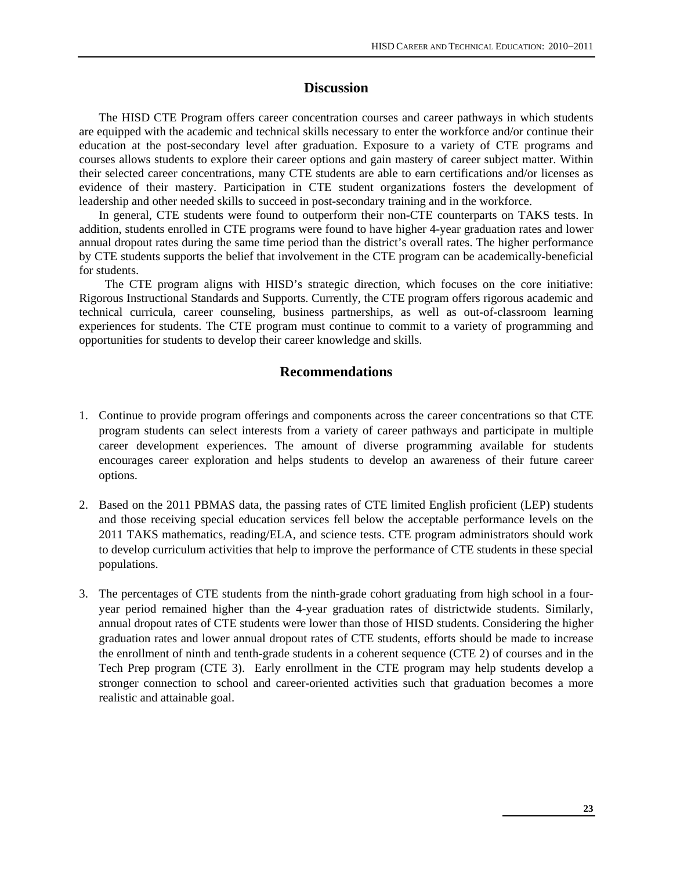## **Discussion**

The HISD CTE Program offers career concentration courses and career pathways in which students are equipped with the academic and technical skills necessary to enter the workforce and/or continue their education at the post-secondary level after graduation. Exposure to a variety of CTE programs and courses allows students to explore their career options and gain mastery of career subject matter. Within their selected career concentrations, many CTE students are able to earn certifications and/or licenses as evidence of their mastery. Participation in CTE student organizations fosters the development of leadership and other needed skills to succeed in post-secondary training and in the workforce.

In general, CTE students were found to outperform their non-CTE counterparts on TAKS tests. In addition, students enrolled in CTE programs were found to have higher 4-year graduation rates and lower annual dropout rates during the same time period than the district's overall rates. The higher performance by CTE students supports the belief that involvement in the CTE program can be academically-beneficial for students.

 The CTE program aligns with HISD's strategic direction, which focuses on the core initiative: Rigorous Instructional Standards and Supports. Currently, the CTE program offers rigorous academic and technical curricula, career counseling, business partnerships, as well as out-of-classroom learning experiences for students. The CTE program must continue to commit to a variety of programming and opportunities for students to develop their career knowledge and skills.

## **Recommendations**

- 1. Continue to provide program offerings and components across the career concentrations so that CTE program students can select interests from a variety of career pathways and participate in multiple career development experiences. The amount of diverse programming available for students encourages career exploration and helps students to develop an awareness of their future career options.
- 2. Based on the 2011 PBMAS data, the passing rates of CTE limited English proficient (LEP) students and those receiving special education services fell below the acceptable performance levels on the 2011 TAKS mathematics, reading/ELA, and science tests. CTE program administrators should work to develop curriculum activities that help to improve the performance of CTE students in these special populations.
- 3. The percentages of CTE students from the ninth-grade cohort graduating from high school in a fouryear period remained higher than the 4-year graduation rates of districtwide students. Similarly, annual dropout rates of CTE students were lower than those of HISD students. Considering the higher graduation rates and lower annual dropout rates of CTE students, efforts should be made to increase the enrollment of ninth and tenth-grade students in a coherent sequence (CTE 2) of courses and in the Tech Prep program (CTE 3). Early enrollment in the CTE program may help students develop a stronger connection to school and career-oriented activities such that graduation becomes a more realistic and attainable goal.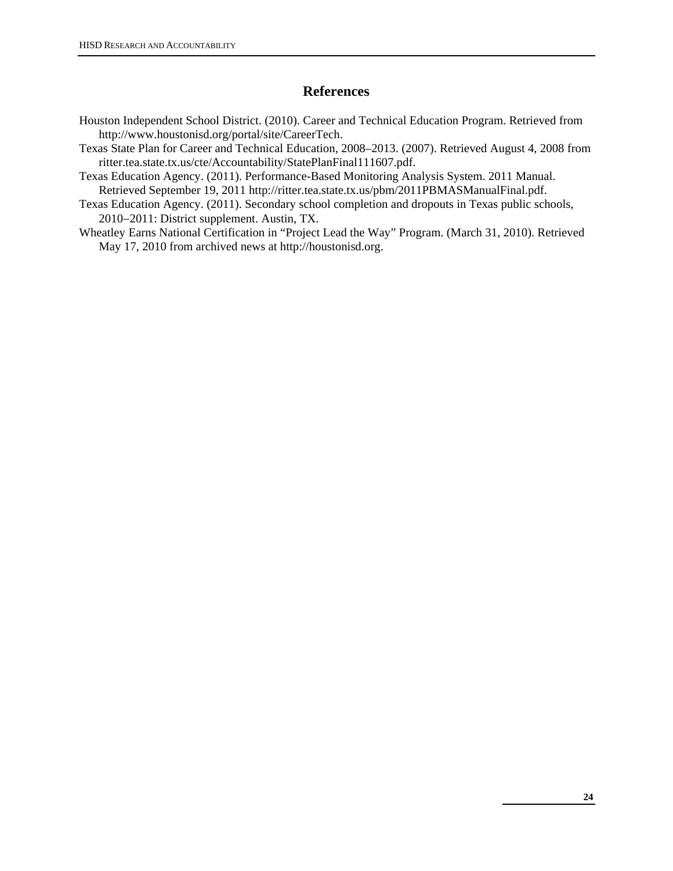## **References**

- Houston Independent School District. (2010). Career and Technical Education Program. Retrieved from http://www.houstonisd.org/portal/site/CareerTech.
- Texas State Plan for Career and Technical Education, 2008–2013. (2007). Retrieved August 4, 2008 from ritter.tea.state.tx.us/cte/Accountability/StatePlanFinal111607.pdf.
- Texas Education Agency. (2011). Performance-Based Monitoring Analysis System. 2011 Manual. Retrieved September 19, 2011 http://ritter.tea.state.tx.us/pbm/2011PBMASManualFinal.pdf.
- Texas Education Agency. (2011). Secondary school completion and dropouts in Texas public schools, 2010−2011: District supplement. Austin, TX.
- Wheatley Earns National Certification in "Project Lead the Way" Program. (March 31, 2010). Retrieved May 17, 2010 from archived news at http://houstonisd.org.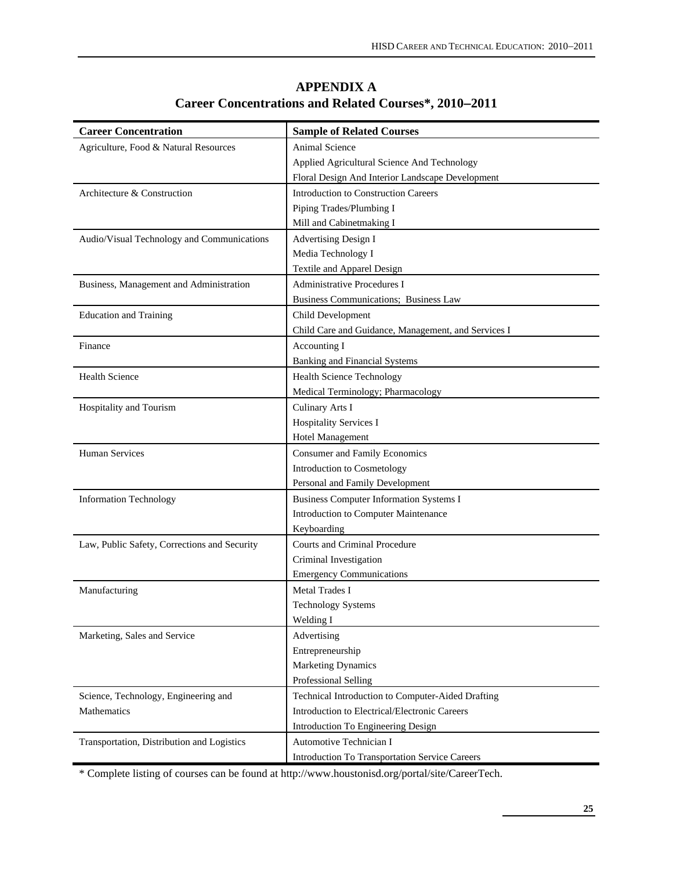| <b>Career Concentration</b>                  | <b>Sample of Related Courses</b>                    |
|----------------------------------------------|-----------------------------------------------------|
| Agriculture, Food & Natural Resources        | <b>Animal Science</b>                               |
|                                              | Applied Agricultural Science And Technology         |
|                                              | Floral Design And Interior Landscape Development    |
| Architecture & Construction                  | <b>Introduction to Construction Careers</b>         |
|                                              | Piping Trades/Plumbing I                            |
|                                              | Mill and Cabinetmaking I                            |
| Audio/Visual Technology and Communications   | <b>Advertising Design I</b>                         |
|                                              | Media Technology I                                  |
|                                              | Textile and Apparel Design                          |
| Business, Management and Administration      | <b>Administrative Procedures I</b>                  |
|                                              | Business Communications; Business Law               |
| <b>Education and Training</b>                | Child Development                                   |
|                                              | Child Care and Guidance, Management, and Services I |
| Finance                                      | Accounting I                                        |
|                                              | <b>Banking and Financial Systems</b>                |
| <b>Health Science</b>                        | <b>Health Science Technology</b>                    |
|                                              | Medical Terminology; Pharmacology                   |
| Hospitality and Tourism                      | Culinary Arts I                                     |
|                                              | Hospitality Services I                              |
|                                              | <b>Hotel Management</b>                             |
| <b>Human Services</b>                        | <b>Consumer and Family Economics</b>                |
|                                              | Introduction to Cosmetology                         |
|                                              | Personal and Family Development                     |
| <b>Information Technology</b>                | <b>Business Computer Information Systems I</b>      |
|                                              | Introduction to Computer Maintenance                |
|                                              | Keyboarding                                         |
| Law, Public Safety, Corrections and Security | Courts and Criminal Procedure                       |
|                                              | Criminal Investigation                              |
|                                              | <b>Emergency Communications</b>                     |
| Manufacturing                                | Metal Trades I                                      |
|                                              | <b>Technology Systems</b>                           |
|                                              | Welding I                                           |
| Marketing, Sales and Service                 | Advertising                                         |
|                                              | Entrepreneurship                                    |
|                                              | <b>Marketing Dynamics</b>                           |
|                                              | Professional Selling                                |
| Science, Technology, Engineering and         | Technical Introduction to Computer-Aided Drafting   |
| Mathematics                                  | Introduction to Electrical/Electronic Careers       |
|                                              | Introduction To Engineering Design                  |
| Transportation, Distribution and Logistics   | Automotive Technician I                             |
|                                              | Introduction To Transportation Service Careers      |

# **APPENDIX A Career Concentrations and Related Courses\*, 2010**−**2011**

\* Complete listing of courses can be found at http://www.houstonisd.org/portal/site/CareerTech.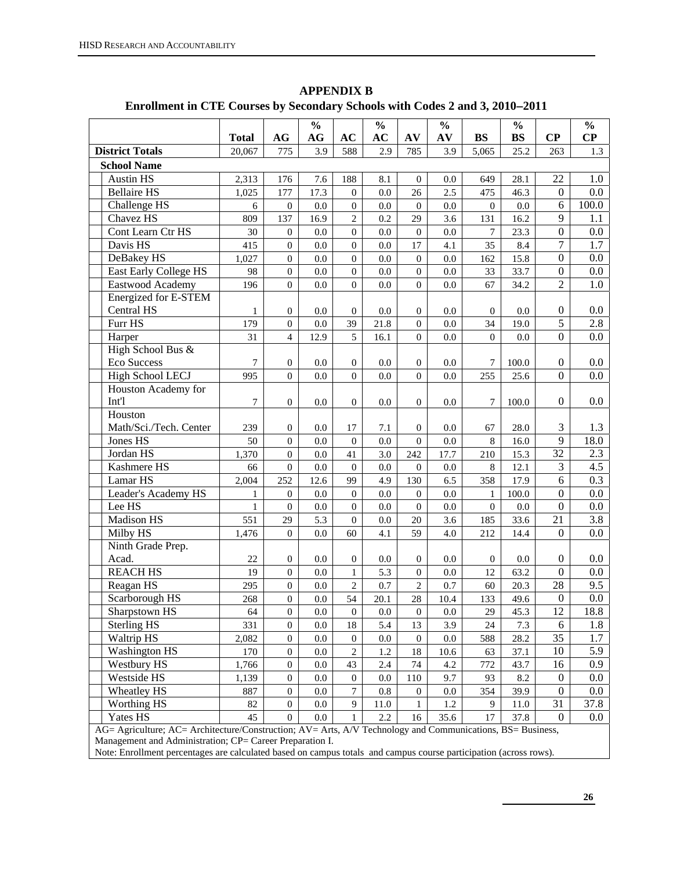|                                                                                                                          |              |                                | $\frac{0}{0}$ |                                      | $\frac{0}{0}$ |                        | $\frac{0}{0}$ |                | $\frac{0}{0}$ |                        | $\frac{0}{0}$   |
|--------------------------------------------------------------------------------------------------------------------------|--------------|--------------------------------|---------------|--------------------------------------|---------------|------------------------|---------------|----------------|---------------|------------------------|-----------------|
|                                                                                                                          | <b>Total</b> | AG                             | AG            | AC                                   | AC            | AV                     | AV            | <b>BS</b>      | <b>BS</b>     | $\bf CP$               | $\bf CP$        |
| <b>District Totals</b>                                                                                                   | 20,067       | 775                            | 3.9           | 588                                  | 2.9           | 785                    | 3.9           | 5,065          | 25.2          | 263                    | 1.3             |
| <b>School Name</b>                                                                                                       |              |                                |               |                                      |               |                        |               |                |               |                        |                 |
| <b>Austin HS</b>                                                                                                         | 2,313        | 176                            | 7.6           | 188                                  | 8.1           | $\mathbf{0}$           | 0.0           | 649            | 28.1          | 22                     | 1.0             |
| <b>Bellaire HS</b>                                                                                                       | 1,025        | 177                            | 17.3          | $\mathbf{0}$                         | 0.0           | 26                     | 2.5           | 475            | 46.3          | $\overline{0}$         | 0.0             |
| Challenge HS                                                                                                             | 6            | $\mathbf{0}$                   | 0.0           | $\mathbf{0}$                         | 0.0           | $\overline{0}$         | 0.0           | $\overline{0}$ | 0.0           | 6                      | 100.0           |
| Chavez HS                                                                                                                | 809          | 137                            | 16.9          | $\overline{2}$                       | 0.2           | 29                     | 3.6           | 131            | 16.2          | 9                      | 1.1             |
| Cont Learn Ctr HS                                                                                                        | 30           | $\mathbf{0}$                   | 0.0           | $\mathbf{0}$                         | 0.0           | $\overline{0}$         | 0.0           | $\tau$         | 23.3          | $\boldsymbol{0}$       | 0.0             |
| Davis HS                                                                                                                 | 415          | $\mathbf{0}$                   | 0.0           | $\mathbf{0}$                         | 0.0           | 17                     | 4.1           | 35             | 8.4           | 7                      | 1.7             |
| DeBakey HS                                                                                                               | 1,027        | $\overline{0}$                 | 0.0           | $\mathbf{0}$                         | 0.0           | $\mathbf{0}$           | 0.0           | 162            | 15.8          | $\mathbf{0}$           | 0.0             |
| <b>East Early College HS</b>                                                                                             | 98           | $\overline{0}$                 | 0.0           | $\boldsymbol{0}$                     | 0.0           | $\mathbf{0}$           | 0.0           | 33             | 33.7          | $\mathbf{0}$           | 0.0             |
| Eastwood Academy                                                                                                         | 196          | $\overline{0}$                 | 0.0           | $\mathbf{0}$                         | 0.0           | $\mathbf{0}$           | 0.0           | 67             | 34.2          | $\overline{c}$         | 1.0             |
| Energized for E-STEM                                                                                                     |              |                                |               |                                      |               |                        |               |                |               |                        |                 |
| Central HS                                                                                                               | 1            | $\mathbf{0}$                   | 0.0           | $\mathbf{0}$                         | 0.0           | $\boldsymbol{0}$       | 0.0           | $\overline{0}$ | 0.0           | $\boldsymbol{0}$       | $0.0\,$         |
| Furr HS                                                                                                                  | 179          | $\mathbf{0}$                   | 0.0           | 39                                   | 21.8          | $\mathbf{0}$           | 0.0           | 34             | 19.0          | $\overline{5}$         | 2.8             |
| Harper                                                                                                                   | 31           | $\overline{4}$                 | 12.9          | 5                                    | 16.1          | $\mathbf{0}$           | 0.0           | $\Omega$       | 0.0           | $\boldsymbol{0}$       | 0.0             |
| High School Bus &                                                                                                        |              |                                |               |                                      |               |                        |               |                |               |                        |                 |
| Eco Success                                                                                                              | $\tau$       | $\overline{0}$                 | 0.0           | $\mathbf{0}$                         | 0.0           | $\overline{0}$         | 0.0           | 7              | 100.0         | $\boldsymbol{0}$       | 0.0             |
| High School LECJ                                                                                                         | 995          | $\Omega$                       | 0.0           | $\overline{0}$                       | 0.0           | $\Omega$               | 0.0           | 255            | 25.6          | $\overline{0}$         | 0.0             |
| Houston Academy for                                                                                                      |              |                                |               |                                      |               |                        |               |                |               |                        |                 |
| Int'l                                                                                                                    | 7            | $\overline{0}$                 | 0.0           | $\overline{0}$                       | 0.0           | $\overline{0}$         | 0.0           | 7              | 100.0         | $\boldsymbol{0}$       | 0.0             |
| Houston                                                                                                                  |              |                                |               |                                      |               |                        |               |                |               |                        |                 |
| Math/Sci./Tech. Center                                                                                                   | 239          | $\mathbf{0}$                   | 0.0           | 17                                   | 7.1           | $\mathbf{0}$           | 0.0           | 67             | 28.0          | 3                      | 1.3             |
| Jones HS                                                                                                                 | 50           | $\overline{0}$                 | 0.0           | $\mathbf{0}$                         | $0.0\,$       | $\mathbf{0}$           | 0.0           | 8              | 16.0          | 9                      | 18.0            |
| Jordan HS                                                                                                                | 1,370        | $\overline{0}$                 | 0.0           | 41                                   | 3.0           | 242                    | 17.7          | 210            | 15.3          | 32                     | 2.3             |
| Kashmere HS                                                                                                              | 66           | $\overline{0}$                 | 0.0           | $\mathbf{0}$                         | 0.0           | $\boldsymbol{0}$       | 0.0           | $\,8\,$        | 12.1          | 3                      | 4.5             |
| Lamar HS                                                                                                                 | 2,004        | 252                            | 12.6          | 99                                   | 4.9           | 130                    | 6.5           | 358            | 17.9          | 6                      | 0.3             |
| Leader's Academy HS                                                                                                      | $\mathbf{1}$ | $\boldsymbol{0}$               | 0.0           | $\mathbf{0}$                         | 0.0           | $\boldsymbol{0}$       | 0.0           | $\mathbf{1}$   | 100.0         | $\boldsymbol{0}$       | 0.0             |
| Lee HS                                                                                                                   | $\mathbf{1}$ | $\overline{0}$                 | 0.0           | $\mathbf{0}$                         | 0.0           | $\boldsymbol{0}$       | 0.0           | $\overline{0}$ | 0.0           | $\boldsymbol{0}$       | 0.0             |
| Madison HS                                                                                                               | 551          | 29                             | 5.3           | $\boldsymbol{0}$                     | 0.0           | 20                     | 3.6           | 185            | 33.6          | 21                     | 3.8             |
| Milby HS                                                                                                                 | 1,476        | $\overline{0}$                 | 0.0           | 60                                   | 4.1           | 59                     | 4.0           | 212            | 14.4          | $\boldsymbol{0}$       | 0.0             |
| Ninth Grade Prep.                                                                                                        |              |                                |               |                                      |               |                        |               |                |               |                        |                 |
| Acad.                                                                                                                    | 22           | $\mathbf{0}$                   | 0.0           | $\mathbf{0}$                         | 0.0           | $\overline{0}$         | 0.0           | $\overline{0}$ | 0.0           | $\boldsymbol{0}$       | 0.0             |
| <b>REACH HS</b>                                                                                                          | 19           | $\boldsymbol{0}$               | 0.0           | $\mathbf{1}$                         | 5.3           | $\boldsymbol{0}$       | 0.0           | 12             | 63.2          | $\mathbf{0}$           | 0.0<br>9.5      |
| Reagan HS                                                                                                                | 295          | $\mathbf{0}$                   | 0.0           | $\mathfrak{2}$                       | 0.7           | $\overline{2}$         | 0.7           | 60             | 20.3          | 28                     |                 |
| Scarborough HS                                                                                                           | 268          | $\boldsymbol{0}$               | 0.0           | 54                                   | 20.1          | 28                     | 10.4          | 133            | 49.6          | $\boldsymbol{0}$       | 0.0             |
| Sharpstown HS                                                                                                            | 64           | $\boldsymbol{0}$               | $0.0\,$       | $\boldsymbol{0}$                     | $0.0\,$       | $\boldsymbol{0}$       | $0.0\,$       | 29             | 45.3          | $\overline{12}$        | 18.8            |
| <b>Sterling HS</b>                                                                                                       | 331          | $\mathbf{0}$                   | 0.0           | 18                                   | 5.4           | 13                     | 3.9           | 24             | 7.3           | 6                      | 1.8             |
| Waltrip HS                                                                                                               | 2,082        | $\mathbf{0}$                   | 0.0           | $\mathbf{0}$                         | 0.0           | $\boldsymbol{0}$<br>18 | 0.0           | 588            | 28.2          | 35                     | 1.7<br>5.9      |
| <b>Washington HS</b>                                                                                                     | 170          | $\boldsymbol{0}$               | 0.0           | $\sqrt{2}$                           | 1.2           |                        | 10.6          | 63             | 37.1          | 10                     |                 |
| Westbury HS                                                                                                              | 1,766        | $\boldsymbol{0}$               | 0.0           | 43                                   | 2.4           | 74                     | 4.2           | 772            | 43.7          | 16<br>$\boldsymbol{0}$ | 0.9<br>0.0      |
| Westside HS                                                                                                              | 1,139        | $\mathbf{0}$                   | 0.0           | $\boldsymbol{0}$<br>$\boldsymbol{7}$ | 0.0           | 110                    | 9.7           | 93             | 8.2           | $\boldsymbol{0}$       |                 |
| Wheatley HS                                                                                                              | 887          | $\mathbf{0}$                   | 0.0           | $\overline{9}$                       | 0.8           | $\boldsymbol{0}$       | 0.0           | 354            | 39.9          | 31                     | $0.0\,$         |
| Worthing HS<br>Yates HS                                                                                                  | 82<br>45     | $\mathbf{0}$<br>$\overline{0}$ | 0.0<br>0.0    | $\mathbf{1}$                         | 11.0<br>2.2   | 1<br>16                | 1.2<br>35.6   | 9<br>17        | 11.0<br>37.8  | $\boldsymbol{0}$       | 37.8<br>$0.0\,$ |
| $AG =$ Agriculture: $AC =$ Architecture/Construction: $AV =$ Arts. $A/V$ Technology and Communications. $BS =$ Business. |              |                                |               |                                      |               |                        |               |                |               |                        |                 |

**APPENDIX B Enrollment in CTE Courses by Secondary Schools with Codes 2 and 3, 2010**−**2011** 

AG= Agriculture; AC= Architecture/Construction; AV= Arts, A/V Technology and Communications, BS= Business,

Management and Administration; CP= Career Preparation I.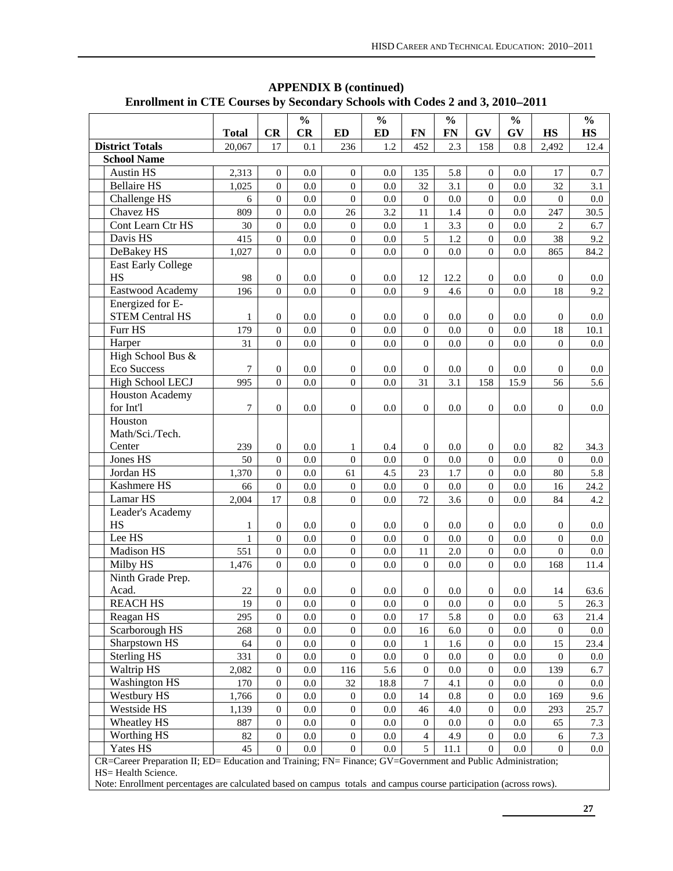|                                                                                                             | <b>Total</b>   |                  | $\frac{0}{0}$ |                  | $\frac{0}{0}$    |                  | $\frac{0}{0}$    |                  | $\frac{0}{0}$ |                    | $\frac{0}{0}$     |
|-------------------------------------------------------------------------------------------------------------|----------------|------------------|---------------|------------------|------------------|------------------|------------------|------------------|---------------|--------------------|-------------------|
| <b>District Totals</b>                                                                                      | 20,067         | CR<br>17         | CR<br>0.1     | <b>ED</b><br>236 | <b>ED</b><br>1.2 | <b>FN</b><br>452 | <b>FN</b><br>2.3 | GV<br>158        | GV<br>0.8     | <b>HS</b><br>2,492 | <b>HS</b><br>12.4 |
| <b>School Name</b>                                                                                          |                |                  |               |                  |                  |                  |                  |                  |               |                    |                   |
| <b>Austin HS</b>                                                                                            | 2,313          | $\mathbf{0}$     | 0.0           | $\overline{0}$   | 0.0              | 135              | 5.8              | $\overline{0}$   | 0.0           | 17                 | 0.7               |
| <b>Bellaire HS</b>                                                                                          | 1,025          | $\overline{0}$   | 0.0           | $\boldsymbol{0}$ | 0.0              | 32               | 3.1              | $\overline{0}$   | 0.0           | 32                 | 3.1               |
| Challenge HS                                                                                                | 6              | $\mathbf{0}$     | 0.0           | $\mathbf{0}$     | 0.0              | $\boldsymbol{0}$ | 0.0              | $\overline{0}$   | 0.0           | $\overline{0}$     | 0.0               |
| Chavez HS                                                                                                   | 809            | $\mathbf{0}$     | 0.0           | 26               | 3.2              | 11               | 1.4              | $\boldsymbol{0}$ | 0.0           | 247                | 30.5              |
| Cont Learn Ctr HS                                                                                           | 30             | $\mathbf{0}$     | 0.0           | $\mathbf{0}$     | 0.0              | $\mathbf{1}$     | 3.3              | $\boldsymbol{0}$ | 0.0           | $\overline{2}$     | 6.7               |
| Davis HS                                                                                                    | 415            | $\mathbf{0}$     | 0.0           | $\boldsymbol{0}$ | 0.0              | 5                | 1.2              | $\overline{0}$   | 0.0           | 38                 | 9.2               |
| DeBakey HS                                                                                                  | 1,027          | $\overline{0}$   | 0.0           | $\boldsymbol{0}$ | 0.0              | $\mathbf{0}$     | 0.0              | $\overline{0}$   | 0.0           | 865                | 84.2              |
| <b>East Early College</b>                                                                                   |                |                  |               |                  |                  |                  |                  |                  |               |                    |                   |
| <b>HS</b>                                                                                                   | 98             | $\mathbf{0}$     | 0.0           | $\mathbf{0}$     | 0.0              | 12               | 12.2             | $\boldsymbol{0}$ | 0.0           | $\overline{0}$     | $0.0\,$           |
| Eastwood Academy                                                                                            | 196            | $\Omega$         | 0.0           | $\Omega$         | 0.0              | 9                | 4.6              | $\Omega$         | 0.0           | 18                 | 9.2               |
| Energized for E-                                                                                            |                |                  |               |                  |                  |                  |                  |                  |               |                    |                   |
| <b>STEM Central HS</b>                                                                                      | 1              | $\overline{0}$   | 0.0           | $\boldsymbol{0}$ | 0.0              | $\boldsymbol{0}$ | 0.0              | $\boldsymbol{0}$ | 0.0           | $\mathbf{0}$       | 0.0               |
| Furr HS                                                                                                     | 179            | $\mathbf{0}$     | 0.0           | $\boldsymbol{0}$ | 0.0              | $\boldsymbol{0}$ | 0.0              | $\overline{0}$   | 0.0           | 18                 | 10.1              |
| Harper                                                                                                      | 31             | $\Omega$         | 0.0           | $\boldsymbol{0}$ | 0.0              | $\boldsymbol{0}$ | 0.0              | $\theta$         | 0.0           | $\Omega$           | 0.0               |
| High School Bus &                                                                                           |                |                  |               |                  |                  |                  |                  |                  |               |                    |                   |
| <b>Eco Success</b>                                                                                          | 7              | $\overline{0}$   | 0.0           | $\mathbf{0}$     | 0.0              | $\overline{0}$   | 0.0              | $\overline{0}$   | 0.0           | $\overline{0}$     | 0.0               |
| <b>High School LECJ</b>                                                                                     | 995            | $\overline{0}$   | 0.0           | $\overline{0}$   | 0.0              | 31               | 3.1              | 158              | 15.9          | 56                 | 5.6               |
| <b>Houston Academy</b>                                                                                      |                |                  |               |                  |                  |                  |                  |                  |               |                    |                   |
| for Int'l                                                                                                   | $\overline{7}$ | $\overline{0}$   | 0.0           | $\overline{0}$   | 0.0              | $\mathbf{0}$     | 0.0              | $\Omega$         | 0.0           | $\overline{0}$     | 0.0               |
| Houston                                                                                                     |                |                  |               |                  |                  |                  |                  |                  |               |                    |                   |
| Math/Sci./Tech.                                                                                             |                |                  |               |                  |                  |                  |                  |                  |               |                    |                   |
| Center                                                                                                      | 239            | $\overline{0}$   | 0.0           | 1                | 0.4              | $\mathbf{0}$     | 0.0              | $\boldsymbol{0}$ | 0.0           | 82                 | 34.3              |
| Jones HS                                                                                                    | 50             | $\mathbf{0}$     | 0.0           | $\boldsymbol{0}$ | 0.0              | $\mathbf{0}$     | 0.0              | $\overline{0}$   | 0.0           | $\theta$           | 0.0               |
| Jordan HS                                                                                                   | 1,370          | $\mathbf{0}$     | 0.0           | 61               | 4.5              | 23               | 1.7              | $\boldsymbol{0}$ | 0.0           | 80                 | 5.8               |
| Kashmere HS                                                                                                 | 66             | $\mathbf{0}$     | 0.0           | $\boldsymbol{0}$ | 0.0              | $\boldsymbol{0}$ | 0.0              | $\boldsymbol{0}$ | 0.0           | 16                 | 24.2              |
| Lamar HS                                                                                                    | 2,004          | 17               | 0.8           | $\overline{0}$   | 0.0              | 72               | 3.6              | $\boldsymbol{0}$ | 0.0           | 84                 | 4.2               |
| Leader's Academy                                                                                            |                |                  |               |                  |                  |                  |                  |                  |               |                    |                   |
| <b>HS</b>                                                                                                   | 1              | $\overline{0}$   | 0.0           | $\mathbf{0}$     | 0.0              | $\mathbf{0}$     | 0.0              | $\boldsymbol{0}$ | 0.0           | $\mathbf{0}$       | 0.0               |
| Lee HS                                                                                                      | 1              | $\mathbf{0}$     | 0.0           | $\boldsymbol{0}$ | 0.0              | $\boldsymbol{0}$ | 0.0              | $\boldsymbol{0}$ | 0.0           | $\mathbf{0}$       | 0.0               |
| Madison HS                                                                                                  | 551            | $\mathbf{0}$     | 0.0           | $\boldsymbol{0}$ | 0.0              | 11               | 2.0              | $\overline{0}$   | 0.0           | $\mathbf{0}$       | 0.0               |
| Milby HS                                                                                                    | 1,476          | $\Omega$         | 0.0           | $\overline{0}$   | 0.0              | $\overline{0}$   | 0.0              | $\overline{0}$   | 0.0           | 168                | 11.4              |
| Ninth Grade Prep.                                                                                           |                |                  |               |                  |                  |                  |                  |                  |               |                    |                   |
| Acad.                                                                                                       | 22             | $\boldsymbol{0}$ | $0.0\,$       | $\boldsymbol{0}$ | 0.0              | $\mathbf{0}$     | 0.0              | $\boldsymbol{0}$ | 0.0           | 14                 | 63.6              |
| <b>REACH HS</b>                                                                                             | 19             | $\overline{0}$   | 0.0           | $\boldsymbol{0}$ | 0.0              | $\overline{0}$   | 0.0              | $\overline{0}$   | 0.0           | 5                  | 26.3              |
| Reagan HS                                                                                                   | 295            | $\boldsymbol{0}$ | 0.0           | $\boldsymbol{0}$ | 0.0              | 17               | 5.8              | $\mathbf{0}$     | 0.0           | 63                 | 21.4              |
| Scarborough HS                                                                                              | 268            | $\boldsymbol{0}$ | $0.0\,$       | $\boldsymbol{0}$ | $0.0\,$          | 16               | 6.0              | $\boldsymbol{0}$ | $0.0\,$       | $\boldsymbol{0}$   | $0.0\,$           |
| Sharpstown HS                                                                                               | 64             | $\boldsymbol{0}$ | $0.0\,$       | $\boldsymbol{0}$ | $0.0\,$          | 1                | 1.6              | $\boldsymbol{0}$ | $0.0\,$       | 15                 | 23.4              |
| <b>Sterling HS</b>                                                                                          | 331            | $\boldsymbol{0}$ | $0.0\,$       | $\boldsymbol{0}$ | $0.0\,$          | $\boldsymbol{0}$ | 0.0              | $\boldsymbol{0}$ | $0.0\,$       | $\boldsymbol{0}$   | 0.0               |
| Waltrip HS                                                                                                  | 2,082          | $\boldsymbol{0}$ | $0.0\,$       | 116              | 5.6              | $\boldsymbol{0}$ | 0.0              | $\boldsymbol{0}$ | $0.0\,$       | 139                | 6.7               |
| <b>Washington HS</b>                                                                                        | 170            | $\boldsymbol{0}$ | $0.0\,$       | 32               | 18.8             | 7                | 4.1              | $\boldsymbol{0}$ | 0.0           | $\boldsymbol{0}$   | 0.0               |
| <b>Westbury HS</b>                                                                                          | 1,766          | $\boldsymbol{0}$ | $0.0\,$       | $\boldsymbol{0}$ | $0.0\,$          | 14               | $0.8\,$          | $\boldsymbol{0}$ | 0.0           | 169                | 9.6               |
| Westside HS                                                                                                 | 1,139          | $\boldsymbol{0}$ | $0.0\,$       | $\boldsymbol{0}$ | $0.0\,$          | 46               | 4.0              | $\boldsymbol{0}$ | 0.0           | 293                | 25.7              |
| Wheatley HS                                                                                                 | 887            | $\boldsymbol{0}$ | $0.0\,$       | $\boldsymbol{0}$ | $0.0\,$          | $\boldsymbol{0}$ | 0.0              | $\boldsymbol{0}$ | $0.0\,$       | 65                 | 7.3               |
| Worthing HS                                                                                                 | 82             | $\mathbf{0}$     | $0.0\,$       | $\boldsymbol{0}$ | $0.0\,$          | $\overline{4}$   | 4.9              | $\boldsymbol{0}$ | $0.0\,$       | 6                  | 7.3               |
| Yates HS                                                                                                    | 45             | $\boldsymbol{0}$ | 0.0           | $\mathbf{0}$     | 0.0              | 5                | 11.1             | 0                | $0.0\,$       | $\mathbf{0}$       | $0.0\,$           |
| CR=Career Preparation II; ED= Education and Training; FN= Finance; GV=Government and Public Administration; |                |                  |               |                  |                  |                  |                  |                  |               |                    |                   |

**APPENDIX B (continued) Enrollment in CTE Courses by Secondary Schools with Codes 2 and 3, 2010**−**2011** 

HS= Health Science.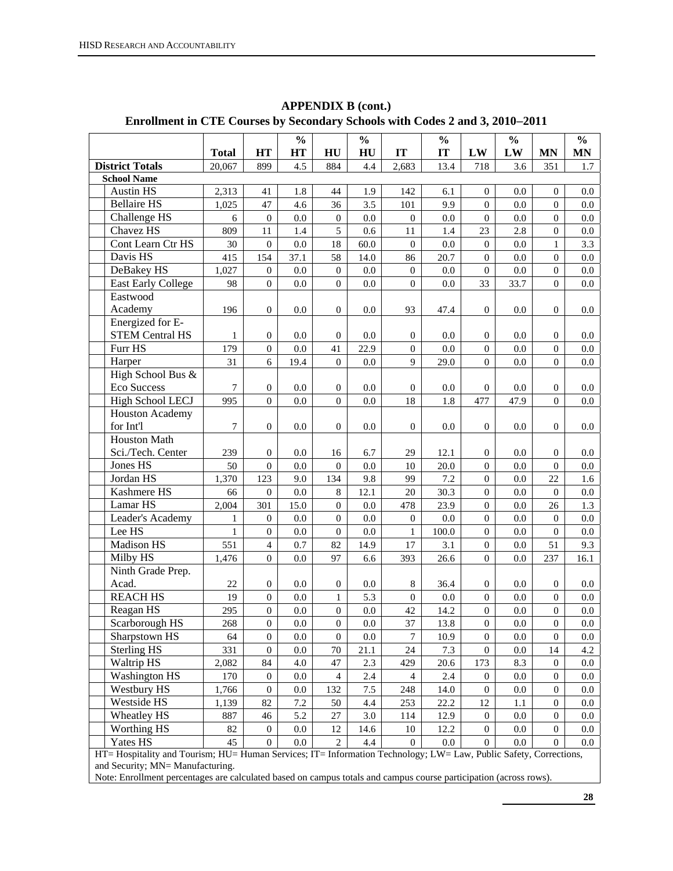|                                                                                                                                                     |                  |                  | $\frac{0}{0}$ |                  | $\frac{0}{0}$ |                           | $\frac{0}{0}$ |                                  | $\frac{0}{0}$ |                                      | $\frac{0}{0}$ |
|-----------------------------------------------------------------------------------------------------------------------------------------------------|------------------|------------------|---------------|------------------|---------------|---------------------------|---------------|----------------------------------|---------------|--------------------------------------|---------------|
|                                                                                                                                                     | <b>Total</b>     | <b>HT</b>        | HT            | HU               | HU            | IT                        | IT            | LW                               | LW            | <b>MN</b>                            | <b>MN</b>     |
| <b>District Totals</b>                                                                                                                              | 20,067           | 899              | 4.5           | 884              | 4.4           | 2,683                     | 13.4          | 718                              | 3.6           | 351                                  | 1.7           |
| <b>School Name</b><br><b>Austin HS</b>                                                                                                              | 2,313            |                  |               |                  |               |                           |               |                                  |               |                                      |               |
| <b>Bellaire HS</b>                                                                                                                                  | 1,025            | 41<br>47         | 1.8<br>4.6    | 44<br>36         | 1.9<br>3.5    | 142<br>101                | 6.1<br>9.9    | $\mathbf{0}$<br>$\boldsymbol{0}$ | 0.0<br>0.0    | $\boldsymbol{0}$<br>$\boldsymbol{0}$ | 0.0           |
| Challenge HS                                                                                                                                        |                  |                  | 0.0           |                  |               | $\boldsymbol{0}$          |               |                                  |               | $\boldsymbol{0}$                     | 0.0           |
| Chavez HS                                                                                                                                           | 6                | $\mathbf{0}$     |               | $\boldsymbol{0}$ | 0.0           |                           | 0.0           | $\boldsymbol{0}$                 | 0.0           |                                      | 0.0           |
|                                                                                                                                                     | 809              | 11               | 1.4           | 5                | 0.6           | 11                        | 1.4           | 23                               | 2.8           | $\boldsymbol{0}$                     | $0.0\,$       |
| Cont Learn Ctr HS                                                                                                                                   | 30               | $\mathbf{0}$     | $0.0\,$       | 18               | 60.0          | $\boldsymbol{0}$          | 0.0           | $\boldsymbol{0}$                 | 0.0           | $\mathbf{1}$                         | 3.3           |
| Davis HS                                                                                                                                            | 415              | 154              | 37.1          | 58               | 14.0          | 86                        | 20.7          | $\boldsymbol{0}$                 | 0.0           | $\boldsymbol{0}$                     | 0.0           |
| DeBakey HS                                                                                                                                          | 1,027            | $\mathbf{0}$     | 0.0           | $\boldsymbol{0}$ | 0.0           | $\boldsymbol{0}$          | 0.0           | $\boldsymbol{0}$                 | 0.0           | $\boldsymbol{0}$                     | 0.0           |
| <b>East Early College</b>                                                                                                                           | 98               | $\mathbf{0}$     | 0.0           | $\boldsymbol{0}$ | 0.0           | $\boldsymbol{0}$          | 0.0           | 33                               | 33.7          | $\overline{0}$                       | 0.0           |
| Eastwood                                                                                                                                            |                  |                  |               |                  |               |                           |               |                                  |               |                                      |               |
| Academy                                                                                                                                             | 196              | $\mathbf{0}$     | 0.0           | $\boldsymbol{0}$ | 0.0           | 93                        | 47.4          | $\mathbf{0}$                     | 0.0           | $\mathbf{0}$                         | 0.0           |
| Energized for E-                                                                                                                                    |                  |                  |               |                  |               |                           |               |                                  |               |                                      |               |
| <b>STEM Central HS</b>                                                                                                                              | 1                | $\boldsymbol{0}$ | 0.0           | $\boldsymbol{0}$ | 0.0           | $\boldsymbol{0}$          | 0.0           | $\boldsymbol{0}$                 | 0.0           | $\boldsymbol{0}$                     | 0.0           |
| Furr HS                                                                                                                                             | 179              | $\boldsymbol{0}$ | 0.0           | 41               | 22.9          | $\boldsymbol{0}$          | 0.0           | $\boldsymbol{0}$                 | 0.0           | $\boldsymbol{0}$                     | 0.0           |
| Harper                                                                                                                                              | 31               | 6                | 19.4          | $\mathbf{0}$     | 0.0           | 9                         | 29.0          | $\overline{0}$                   | 0.0           | $\overline{0}$                       | 0.0           |
| High School Bus &                                                                                                                                   |                  |                  |               |                  |               |                           |               |                                  |               |                                      |               |
| <b>Eco Success</b>                                                                                                                                  | $\tau$           | $\boldsymbol{0}$ | 0.0           | $\boldsymbol{0}$ | 0.0           | $\boldsymbol{0}$          | 0.0           | $\mathbf{0}$                     | 0.0           | $\mathbf{0}$                         | 0.0           |
| <b>High School LECJ</b>                                                                                                                             | 995              | $\boldsymbol{0}$ | 0.0           | $\mathbf{0}$     | 0.0           | 18                        | 1.8           | 477                              | 47.9          | $\overline{0}$                       | 0.0           |
| <b>Houston Academy</b>                                                                                                                              |                  |                  |               |                  |               |                           |               |                                  |               |                                      |               |
| for Int'l                                                                                                                                           | $\boldsymbol{7}$ | $\mathbf{0}$     | 0.0           | $\boldsymbol{0}$ | 0.0           | $\mathbf{0}$              | 0.0           | $\mathbf{0}$                     | 0.0           | $\mathbf{0}$                         | 0.0           |
| <b>Houston Math</b>                                                                                                                                 |                  |                  |               |                  |               |                           |               |                                  |               |                                      |               |
| Sci./Tech. Center                                                                                                                                   | 239              | $\boldsymbol{0}$ | 0.0           | 16               | 6.7           | 29                        | 12.1          | $\boldsymbol{0}$                 | 0.0           | $\boldsymbol{0}$                     | 0.0           |
| Jones HS                                                                                                                                            | 50               | $\boldsymbol{0}$ | 0.0           | $\boldsymbol{0}$ | 0.0           | 10                        | 20.0          | $\boldsymbol{0}$                 | 0.0           | $\boldsymbol{0}$                     | 0.0           |
| Jordan HS                                                                                                                                           | 1,370            | 123              | 9.0           | 134              | 9.8           | 99                        | $7.2\,$       | $\boldsymbol{0}$                 | 0.0           | 22                                   | 1.6           |
| Kashmere HS                                                                                                                                         | 66               | $\boldsymbol{0}$ | $0.0\,$       | 8                | 12.1          | 20                        | 30.3          | $\boldsymbol{0}$                 | 0.0           | $\boldsymbol{0}$                     | $0.0\,$       |
| Lamar HS                                                                                                                                            | 2,004            | 301              | 15.0          | $\boldsymbol{0}$ | $0.0\,$       | 478                       | 23.9          | $\boldsymbol{0}$                 | 0.0           | $26\,$                               | 1.3           |
| Leader's Academy                                                                                                                                    | 1                | $\boldsymbol{0}$ | $0.0\,$       | $\boldsymbol{0}$ | $0.0\,$       | $\boldsymbol{0}$          | $0.0\,$       | $\boldsymbol{0}$                 | 0.0           | $\boldsymbol{0}$                     | 0.0           |
| Lee HS                                                                                                                                              | $\mathbf{1}$     | $\mathbf{0}$     | $0.0\,$       | $\boldsymbol{0}$ | 0.0           | $\mathbf{1}$              | 100.0         | $\boldsymbol{0}$                 | 0.0           | $\boldsymbol{0}$                     | 0.0           |
| Madison HS                                                                                                                                          | 551              | $\overline{4}$   | 0.7           | 82               | 14.9          | $17\,$                    | 3.1           | $\boldsymbol{0}$                 | $0.0\,$       | 51                                   | 9.3           |
| Milby HS                                                                                                                                            | 1,476            | $\boldsymbol{0}$ | $0.0\,$       | 97               | 6.6           | 393                       | 26.6          | $\boldsymbol{0}$                 | 0.0           | 237                                  | 16.1          |
| Ninth Grade Prep.                                                                                                                                   |                  |                  |               |                  |               |                           |               |                                  |               |                                      |               |
| Acad.                                                                                                                                               | 22               | $\boldsymbol{0}$ | 0.0           | $\boldsymbol{0}$ | 0.0           | $\,8\,$<br>$\overline{0}$ | 36.4          | $\mathbf{0}$                     | 0.0           | $\mathbf{0}$                         | 0.0           |
| <b>REACH HS</b>                                                                                                                                     | 19               | $\boldsymbol{0}$ | 0.0           | $\mathbf{1}$     | 5.3           |                           | $0.0\,$       | $\boldsymbol{0}$                 | 0.0           | $\boldsymbol{0}$                     | $0.0\,$       |
| Reagan HS                                                                                                                                           | 295              | $\boldsymbol{0}$ | $0.0\,$       | $\boldsymbol{0}$ | 0.0           | 42                        | 14.2          | $\boldsymbol{0}$                 | $0.0\,$       | $\boldsymbol{0}$                     | $0.0\,$       |
| Scarborough HS                                                                                                                                      | 268              | $\boldsymbol{0}$ | 0.0           | $\mathbf{0}$     | 0.0           | 37                        | 13.8          | $\boldsymbol{0}$                 | 0.0           | $\boldsymbol{0}$                     | $0.0\,$       |
| Sharpstown HS                                                                                                                                       | 64               | $\boldsymbol{0}$ | $0.0\,$       | $\mathbf{0}$     | 0.0           | $\overline{7}$            | 10.9          | $\boldsymbol{0}$                 | 0.0           | $\mathbf{0}$                         | $0.0\,$       |
| <b>Sterling HS</b>                                                                                                                                  | 331              | $\mathbf{0}$     | 0.0           | 70               | 21.1          | 24                        | 7.3           | $\mathbf{0}$                     | 0.0           | 14                                   | 4.2           |
| Waltrip HS                                                                                                                                          | 2,082            | 84               | 4.0           | 47               | 2.3           | 429                       | 20.6          | 173                              | 8.3           | $\boldsymbol{0}$                     | 0.0           |
| <b>Washington HS</b>                                                                                                                                | 170              | $\boldsymbol{0}$ | 0.0           | 4                | 2.4           | $\overline{4}$            | 2.4           | $\mathbf{0}$                     | 0.0           | $\boldsymbol{0}$                     | 0.0           |
| Westbury HS                                                                                                                                         | 1,766            | $\mathbf{0}$     | 0.0           | 132              | 7.5           | 248                       | 14.0          | $\mathbf{0}$                     | 0.0           | $\boldsymbol{0}$                     | 0.0           |
| Westside HS                                                                                                                                         | 1,139            | 82               | 7.2           | 50               | 4.4           | 253                       | 22.2          | 12                               | 1.1           | $\boldsymbol{0}$                     | 0.0           |
| Wheatley HS                                                                                                                                         | 887              | 46               | 5.2           | 27               | 3.0           | 114                       | 12.9          | $\boldsymbol{0}$                 | 0.0           | $\boldsymbol{0}$                     | 0.0           |
| Worthing HS                                                                                                                                         | 82               | $\mathbf{0}$     | 0.0           | 12               | 14.6          | 10                        | 12.2          | $\mathbf{0}$                     | 0.0           | $\boldsymbol{0}$                     | 0.0           |
| Yates HS                                                                                                                                            | 45               | $\mathbf{0}$     | 0.0           | $\overline{c}$   | 4.4           | $\mathbf{0}$              | 0.0           | $\overline{0}$                   | 0.0           | $\overline{0}$                       | 0.0           |
| HT= Hospitality and Tourism; HU= Human Services; IT= Information Technology; LW= Law, Public Safety, Corrections,<br>and Cocurity: MN-Manufacturing |                  |                  |               |                  |               |                           |               |                                  |               |                                      |               |

**APPENDIX B (cont.) Enrollment in CTE Courses by Secondary Schools with Codes 2 and 3, 2010**−**2011** 

and Security; MN= Manufacturing.